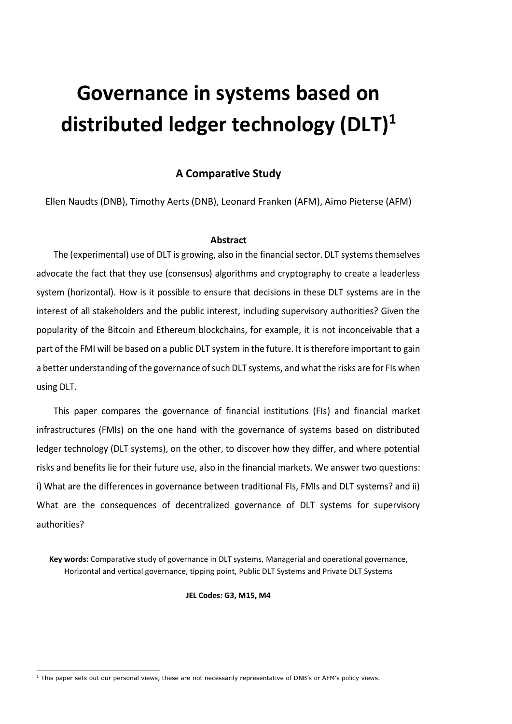# **Governance in systems based on distributed ledger technology (DLT)<sup>1</sup>**

#### **A Comparative Study**

Ellen Naudts (DNB), Timothy Aerts (DNB), Leonard Franken (AFM), Aimo Pieterse (AFM)

#### **Abstract**

The (experimental) use of DLT is growing, also in the financial sector. DLT systems themselves advocate the fact that they use (consensus) algorithms and cryptography to create a leaderless system (horizontal). How is it possible to ensure that decisions in these DLT systems are in the interest of all stakeholders and the public interest, including supervisory authorities? Given the popularity of the Bitcoin and Ethereum blockchains, for example, it is not inconceivable that a part of the FMI will be based on a public DLT system in the future. It is therefore important to gain a better understanding of the governance of such DLT systems, and what the risks are for FIs when using DLT.

This paper compares the governance of financial institutions (FIs) and financial market infrastructures (FMIs) on the one hand with the governance of systems based on distributed ledger technology (DLT systems), on the other, to discover how they differ, and where potential risks and benefits lie for their future use, also in the financial markets. We answer two questions: i) What are the differences in governance between traditional FIs, FMIs and DLT systems? and ii) What are the consequences of decentralized governance of DLT systems for supervisory authorities?

**Key words:** Comparative study of governance in DLT systems, Managerial and operational governance, Horizontal and vertical governance, tipping point, Public DLT Systems and Private DLT Systems

**JEL Codes: G3, M15, M4**

1

<sup>&</sup>lt;sup>1</sup> This paper sets out our personal views, these are not necessarily representative of DNB's or AFM's policy views.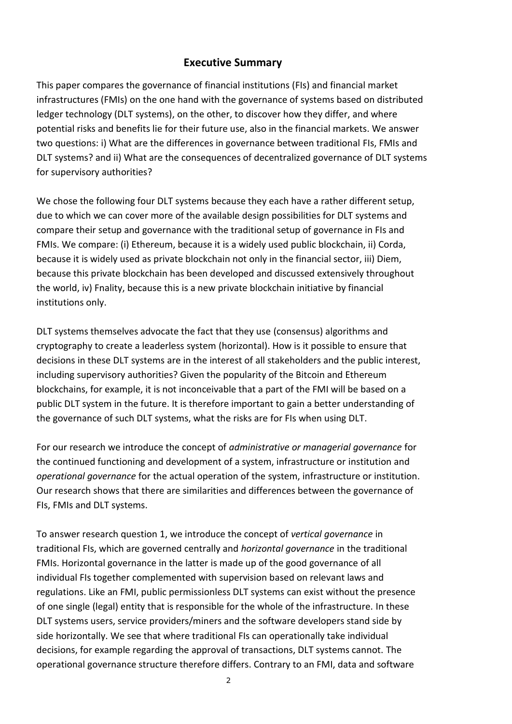## **Executive Summary**

This paper compares the governance of financial institutions (FIs) and financial market infrastructures (FMIs) on the one hand with the governance of systems based on distributed ledger technology (DLT systems), on the other, to discover how they differ, and where potential risks and benefits lie for their future use, also in the financial markets. We answer two questions: i) What are the differences in governance between traditional FIs, FMIs and DLT systems? and ii) What are the consequences of decentralized governance of DLT systems for supervisory authorities?

We chose the following four DLT systems because they each have a rather different setup, due to which we can cover more of the available design possibilities for DLT systems and compare their setup and governance with the traditional setup of governance in FIs and FMIs. We compare: (i) Ethereum, because it is a widely used public blockchain, ii) Corda, because it is widely used as private blockchain not only in the financial sector, iii) Diem, because this private blockchain has been developed and discussed extensively throughout the world, iv) Fnality, because this is a new private blockchain initiative by financial institutions only.

DLT systems themselves advocate the fact that they use (consensus) algorithms and cryptography to create a leaderless system (horizontal). How is it possible to ensure that decisions in these DLT systems are in the interest of all stakeholders and the public interest, including supervisory authorities? Given the popularity of the Bitcoin and Ethereum blockchains, for example, it is not inconceivable that a part of the FMI will be based on a public DLT system in the future. It is therefore important to gain a better understanding of the governance of such DLT systems, what the risks are for FIs when using DLT.

For our research we introduce the concept of *administrative or managerial governance* for the continued functioning and development of a system, infrastructure or institution and *operational governance* for the actual operation of the system, infrastructure or institution. Our research shows that there are similarities and differences between the governance of FIs, FMIs and DLT systems.

To answer research question 1, we introduce the concept of *vertical governance* in traditional FIs, which are governed centrally and *horizontal governance* in the traditional FMIs. Horizontal governance in the latter is made up of the good governance of all individual FIs together complemented with supervision based on relevant laws and regulations. Like an FMI, public permissionless DLT systems can exist without the presence of one single (legal) entity that is responsible for the whole of the infrastructure. In these DLT systems users, service providers/miners and the software developers stand side by side horizontally. We see that where traditional FIs can operationally take individual decisions, for example regarding the approval of transactions, DLT systems cannot. The operational governance structure therefore differs. Contrary to an FMI, data and software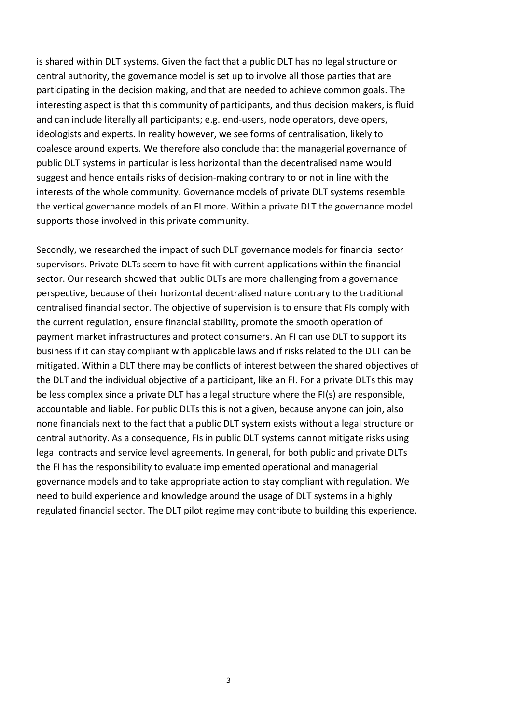is shared within DLT systems. Given the fact that a public DLT has no legal structure or central authority, the governance model is set up to involve all those parties that are participating in the decision making, and that are needed to achieve common goals. The interesting aspect is that this community of participants, and thus decision makers, is fluid and can include literally all participants; e.g. end-users, node operators, developers, ideologists and experts. In reality however, we see forms of centralisation, likely to coalesce around experts. We therefore also conclude that the managerial governance of public DLT systems in particular is less horizontal than the decentralised name would suggest and hence entails risks of decision-making contrary to or not in line with the interests of the whole community. Governance models of private DLT systems resemble the vertical governance models of an FI more. Within a private DLT the governance model supports those involved in this private community.

Secondly, we researched the impact of such DLT governance models for financial sector supervisors. Private DLTs seem to have fit with current applications within the financial sector. Our research showed that public DLTs are more challenging from a governance perspective, because of their horizontal decentralised nature contrary to the traditional centralised financial sector. The objective of supervision is to ensure that FIs comply with the current regulation, ensure financial stability, promote the smooth operation of payment market infrastructures and protect consumers. An FI can use DLT to support its business if it can stay compliant with applicable laws and if risks related to the DLT can be mitigated. Within a DLT there may be conflicts of interest between the shared objectives of the DLT and the individual objective of a participant, like an FI. For a private DLTs this may be less complex since a private DLT has a legal structure where the FI(s) are responsible, accountable and liable. For public DLTs this is not a given, because anyone can join, also none financials next to the fact that a public DLT system exists without a legal structure or central authority. As a consequence, FIs in public DLT systems cannot mitigate risks using legal contracts and service level agreements. In general, for both public and private DLTs the FI has the responsibility to evaluate implemented operational and managerial governance models and to take appropriate action to stay compliant with regulation. We need to build experience and knowledge around the usage of DLT systems in a highly regulated financial sector. The DLT pilot regime may contribute to building this experience.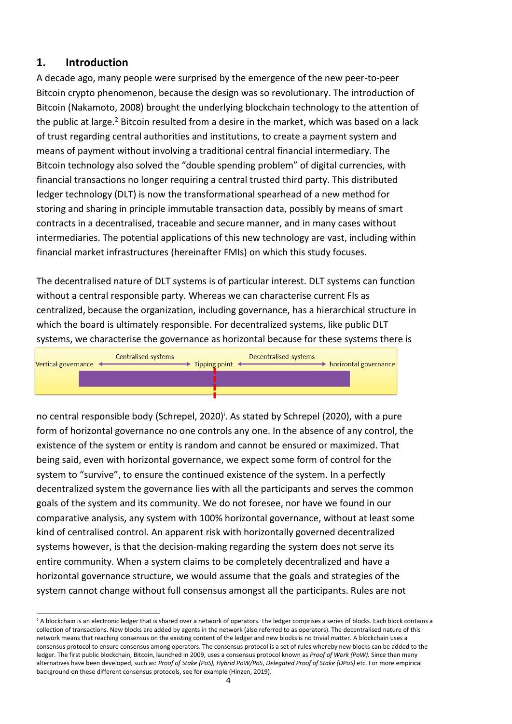## **1. Introduction**

1

A decade ago, many people were surprised by the emergence of the new peer-to-peer Bitcoin crypto phenomenon, because the design was so revolutionary. The introduction of Bitcoin (Nakamoto, 2008) brought the underlying blockchain technology to the attention of the public at large.<sup>2</sup> Bitcoin resulted from a desire in the market, which was based on a lack of trust regarding central authorities and institutions, to create a payment system and means of payment without involving a traditional central financial intermediary. The Bitcoin technology also solved the "double spending problem" of digital currencies, with financial transactions no longer requiring a central trusted third party. This distributed ledger technology (DLT) is now the transformational spearhead of a new method for storing and sharing in principle immutable transaction data, possibly by means of smart contracts in a decentralised, traceable and secure manner, and in many cases without intermediaries. The potential applications of this new technology are vast, including within financial market infrastructures (hereinafter FMIs) on which this study focuses.

The decentralised nature of DLT systems is of particular interest. DLT systems can function without a central responsible party. Whereas we can characterise current FIs as centralized, because the organization, including governance, has a hierarchical structure in which the board is ultimately responsible. For decentralized systems, like public DLT systems, we characterise the governance as horizontal because for these systems there is



no central responsible body (Schrepel, 2020)<sup>†</sup>. As stated by Schrepel (2020), with a pure form of horizontal governance no one controls any one. In the absence of any control, the existence of the system or entity is random and cannot be ensured or maximized. That being said, even with horizontal governance, we expect some form of control for the system to "survive", to ensure the continued existence of the system. In a perfectly decentralized system the governance lies with all the participants and serves the common goals of the system and its community. We do not foresee, nor have we found in our comparative analysis, any system with 100% horizontal governance, without at least some kind of centralised control. An apparent risk with horizontally governed decentralized systems however, is that the decision-making regarding the system does not serve its entire community. When a system claims to be completely decentralized and have a horizontal governance structure, we would assume that the goals and strategies of the system cannot change without full consensus amongst all the participants. Rules are not

<sup>&</sup>lt;sup>2</sup> A blockchain is an electronic ledger that is shared over a network of operators. The ledger comprises a series of blocks. Each block contains a collection of transactions. New blocks are added by agents in the network (also referred to as operators). The decentralised nature of this network means that reaching consensus on the existing content of the ledger and new blocks is no trivial matter. A blockchain uses a consensus protocol to ensure consensus among operators. The consensus protocol is a set of rules whereby new blocks can be added to the ledger. The first public blockchain, Bitcoin, launched in 2009, uses a consensus protocol known as *Proof of Work (PoW).* Since then many alternatives have been developed, such as: *Proof of Stake (PoS), Hybrid PoW/PoS*, *Delegated Proof of Stake (DPoS)* etc. For more empirical background on these different consensus protocols, see for example (Hinzen, 2019).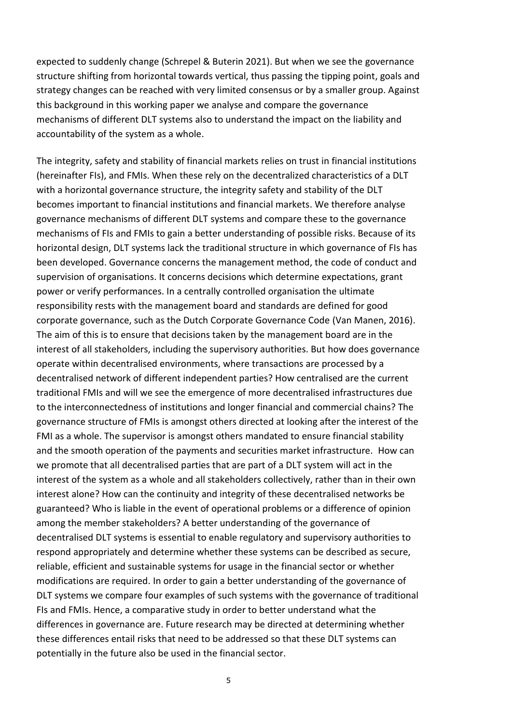expected to suddenly change (Schrepel & Buterin 2021). But when we see the governance structure shifting from horizontal towards vertical, thus passing the tipping point, goals and strategy changes can be reached with very limited consensus or by a smaller group. Against this background in this working paper we analyse and compare the governance mechanisms of different DLT systems also to understand the impact on the liability and accountability of the system as a whole.

The integrity, safety and stability of financial markets relies on trust in financial institutions (hereinafter FIs), and FMIs. When these rely on the decentralized characteristics of a DLT with a horizontal governance structure, the integrity safety and stability of the DLT becomes important to financial institutions and financial markets. We therefore analyse governance mechanisms of different DLT systems and compare these to the governance mechanisms of FIs and FMIs to gain a better understanding of possible risks. Because of its horizontal design, DLT systems lack the traditional structure in which governance of FIs has been developed. Governance concerns the [management method,](https://nl.wikipedia.org/wiki/Bestuur) the [code of conduct](https://nl.wikipedia.org/wiki/Gedragscode) and supervision of [organisations.](https://nl.wikipedia.org/wiki/Organisatie) It concerns decisions which determine expectations, [grant](https://nl.wikipedia.org/wiki/Macht_(menswetenschappen))  [power](https://nl.wikipedia.org/wiki/Macht_(menswetenschappen)) or verify performances. In a centrally controlled organisation the ultimate responsibility rests with the management board and standards are defined for good corporate governance, such as the Dutch Corporate Governance Code (Van Manen, 2016). The aim of this is to ensure that decisions taken by the management board are in the interest of all stakeholders, including the supervisory authorities. But how does governance operate within decentralised environments, where transactions are processed by a decentralised network of different independent parties? How centralised are the current traditional FMIs and will we see the emergence of more decentralised infrastructures due to the interconnectedness of institutions and longer financial and commercial chains? The governance structure of FMIs is amongst others directed at looking after the interest of the FMI as a whole. The supervisor is amongst others mandated to ensure financial stability and the smooth operation of the payments and securities market infrastructure. How can we promote that all decentralised parties that are part of a DLT system will act in the interest of the system as a whole and all stakeholders collectively, rather than in their own interest alone? How can the continuity and integrity of these decentralised networks be guaranteed? Who is liable in the event of operational problems or a difference of opinion among the member stakeholders? A better understanding of the governance of decentralised DLT systems is essential to enable regulatory and supervisory authorities to respond appropriately and determine whether these systems can be described as secure, reliable, efficient and sustainable systems for usage in the financial sector or whether modifications are required. In order to gain a better understanding of the governance of DLT systems we compare four examples of such systems with the governance of traditional FIs and FMIs. Hence, a comparative study in order to better understand what the differences in governance are. Future research may be directed at determining whether these differences entail risks that need to be addressed so that these DLT systems can potentially in the future also be used in the financial sector.

5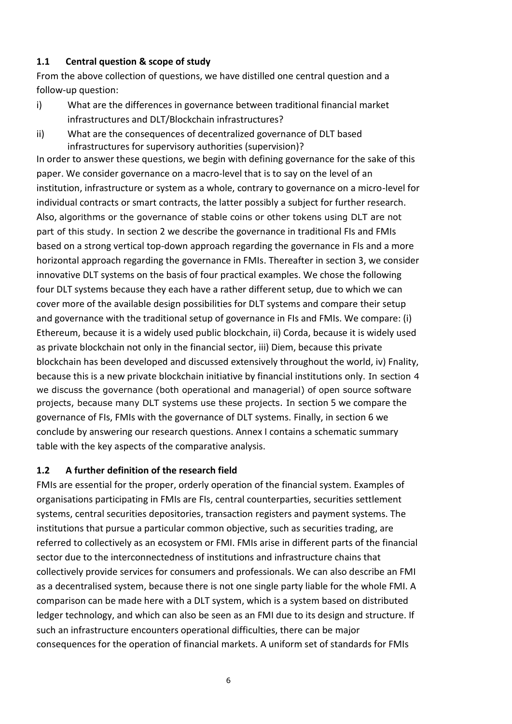#### **1.1 Central question & scope of study**

From the above collection of questions, we have distilled one central question and a follow-up question:

- i) What are the differences in governance between traditional financial market infrastructures and DLT/Blockchain infrastructures?
- ii) What are the consequences of decentralized governance of DLT based infrastructures for supervisory authorities (supervision)?

In order to answer these questions, we begin with defining governance for the sake of this paper. We consider governance on a macro-level that is to say on the level of an institution, infrastructure or system as a whole, contrary to governance on a micro-level for individual contracts or smart contracts, the latter possibly a subject for further research. Also, algorithms or the governance of stable coins or other tokens using DLT are not part of this study. In section 2 we describe the governance in traditional FIs and FMIs based on a strong vertical top-down approach regarding the governance in FIs and a more horizontal approach regarding the governance in FMIs. Thereafter in section 3, we consider innovative DLT systems on the basis of four practical examples. We chose the following four DLT systems because they each have a rather different setup, due to which we can cover more of the available design possibilities for DLT systems and compare their setup and governance with the traditional setup of governance in FIs and FMIs. We compare: (i) Ethereum, because it is a widely used public blockchain, ii) Corda, because it is widely used as private blockchain not only in the financial sector, iii) Diem, because this private blockchain has been developed and discussed extensively throughout the world, iv) Fnality, because this is a new private blockchain initiative by financial institutions only. In section 4 we discuss the governance (both operational and managerial) of open source software projects, because many DLT systems use these projects. In section 5 we compare the governance of FIs, FMIs with the governance of DLT systems. Finally, in section 6 we conclude by answering our research questions. Annex I contains a schematic summary table with the key aspects of the comparative analysis.

#### **1.2 A further definition of the research field**

FMIs are essential for the proper, orderly operation of the financial system. Examples of organisations participating in FMIs are FIs, central counterparties, securities settlement systems, central securities depositories, transaction registers and payment systems. The institutions that pursue a particular common objective, such as securities trading, are referred to collectively as an ecosystem or FMI. FMIs arise in different parts of the financial sector due to the interconnectedness of institutions and infrastructure chains that collectively provide services for consumers and professionals. We can also describe an FMI as a decentralised system, because there is not one single party liable for the whole FMI. A comparison can be made here with a DLT system, which is a system based on distributed ledger technology, and which can also be seen as an FMI due to its design and structure. If such an infrastructure encounters operational difficulties, there can be major consequences for the operation of financial markets. A uniform set of standards for FMIs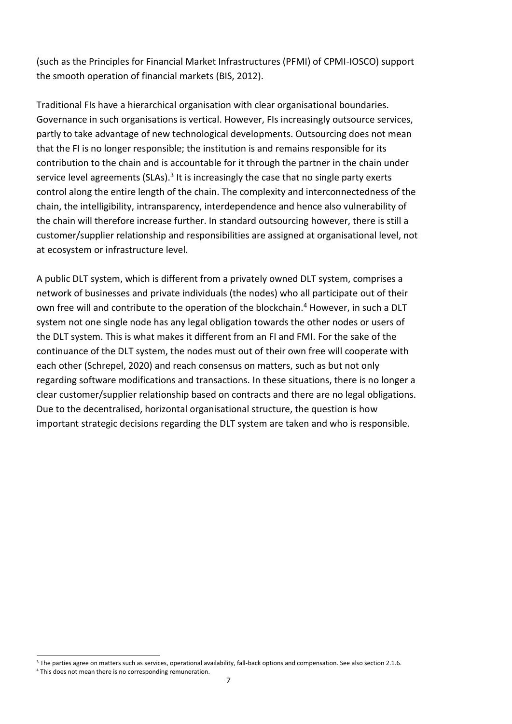(such as the Principles for Financial Market Infrastructures (PFMI) of CPMI-IOSCO) support the smooth operation of financial markets (BIS, 2012).

Traditional FIs have a hierarchical organisation with clear organisational boundaries. Governance in such organisations is vertical. However, FIs increasingly outsource services, partly to take advantage of new technological developments. Outsourcing does not mean that the FI is no longer responsible; the institution is and remains responsible for its contribution to the chain and is accountable for it through the partner in the chain under service level agreements (SLAs).<sup>3</sup> It is increasingly the case that no single party exerts control along the entire length of the chain. The complexity and interconnectedness of the chain, the intelligibility, intransparency, interdependence and hence also vulnerability of the chain will therefore increase further. In standard outsourcing however, there is still a customer/supplier relationship and responsibilities are assigned at organisational level, not at ecosystem or infrastructure level.

A public DLT system, which is different from a privately owned DLT system, comprises a network of businesses and private individuals (the nodes) who all participate out of their own free will and contribute to the operation of the blockchain.<sup>4</sup> However, in such a DLT system not one single node has any legal obligation towards the other nodes or users of the DLT system. This is what makes it different from an FI and FMI. For the sake of the continuance of the DLT system, the nodes must out of their own free will cooperate with each other (Schrepel, 2020) and reach consensus on matters, such as but not only regarding software modifications and transactions. In these situations, there is no longer a clear customer/supplier relationship based on contracts and there are no legal obligations. Due to the decentralised, horizontal organisational structure, the question is how important strategic decisions regarding the DLT system are taken and who is responsible.

1

<sup>&</sup>lt;sup>3</sup> The parties agree on matters such as services, operational availability, fall-back options and compensation. See also section 2.1.6.

<sup>4</sup> This does not mean there is no corresponding remuneration.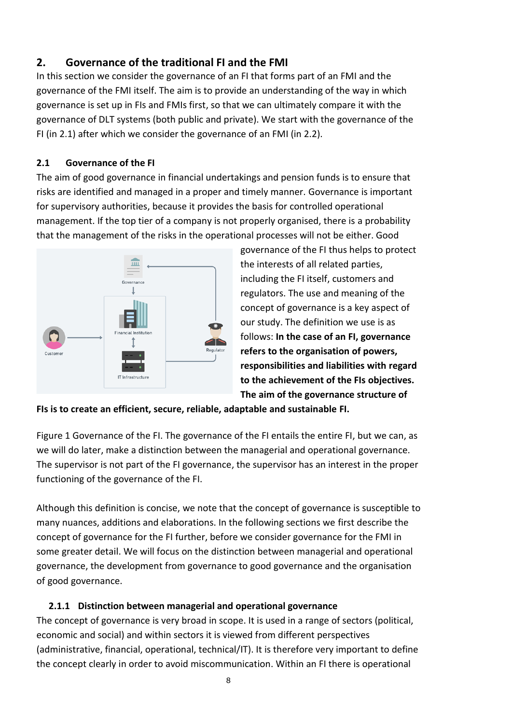## **2. Governance of the traditional FI and the FMI**

In this section we consider the governance of an FI that forms part of an FMI and the governance of the FMI itself. The aim is to provide an understanding of the way in which governance is set up in FIs and FMIs first, so that we can ultimately compare it with the governance of DLT systems (both public and private). We start with the governance of the FI (in 2.1) after which we consider the governance of an FMI (in 2.2).

## **2.1 Governance of the FI**

The aim of good governance in financial undertakings and pension funds is to ensure that risks are identified and managed in a proper and timely manner. Governance is important for supervisory authorities, because it provides the basis for controlled operational management. If the top tier of a company is not properly organised, there is a probability that the management of the risks in the operational processes will not be either. Good



governance of the FI thus helps to protect the interests of all related parties, including the FI itself, customers and regulators. The use and meaning of the concept of governance is a key aspect of our study. The definition we use is as follows: **In the case of an FI, governance refers to the organisation of powers, responsibilities and liabilities with regard to the achievement of the FIs objectives. The aim of the governance structure of** 

**FIs is to create an efficient, secure, reliable, adaptable and sustainable FI.** 

Figure 1 Governance of the FI. The governance of the FI entails the entire FI, but we can, as we will do later, make a distinction between the managerial and operational governance. The supervisor is not part of the FI governance, the supervisor has an interest in the proper functioning of the governance of the FI.

Although this definition is concise, we note that the concept of governance is susceptible to many nuances, additions and elaborations. In the following sections we first describe the concept of governance for the FI further, before we consider governance for the FMI in some greater detail. We will focus on the distinction between managerial and operational governance, the development from governance to good governance and the organisation of good governance.

## **2.1.1 Distinction between managerial and operational governance**

The concept of governance is very broad in scope. It is used in a range of sectors (political, economic and social) and within sectors it is viewed from different perspectives (administrative, financial, operational, technical/IT). It is therefore very important to define the concept clearly in order to avoid miscommunication. Within an FI there is operational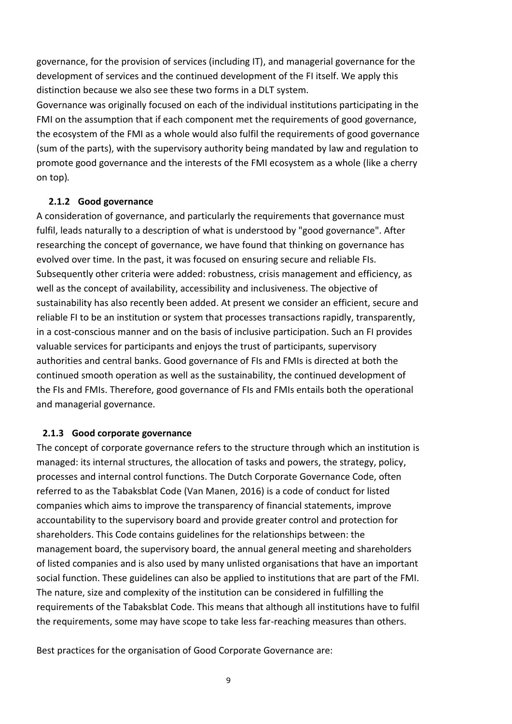governance, for the provision of services (including IT), and managerial governance for the development of services and the continued development of the FI itself. We apply this distinction because we also see these two forms in a DLT system.

Governance was originally focused on each of the individual institutions participating in the FMI on the assumption that if each component met the requirements of good governance, the ecosystem of the FMI as a whole would also fulfil the requirements of good governance (sum of the parts), with the supervisory authority being mandated by law and regulation to promote good governance and the interests of the FMI ecosystem as a whole (like a cherry on top)*.* 

#### **2.1.2 Good governance**

A consideration of governance, and particularly the requirements that governance must fulfil, leads naturally to a description of what is understood by "good governance". After researching the concept of governance, we have found that thinking on governance has evolved over time. In the past, it was focused on ensuring secure and reliable FIs. Subsequently other criteria were added: robustness, crisis management and efficiency, as well as the concept of availability, accessibility and inclusiveness. The objective of sustainability has also recently been added. At present we consider an efficient, secure and reliable FI to be an institution or system that processes transactions rapidly, transparently, in a cost-conscious manner and on the basis of inclusive participation. Such an FI provides valuable services for participants and enjoys the trust of participants, supervisory authorities and central banks. Good governance of FIs and FMIs is directed at both the continued smooth operation as well as the sustainability, the continued development of the FIs and FMIs. Therefore, good governance of FIs and FMIs entails both the operational and managerial governance.

#### **2.1.3 Good corporate governance**

The concept of corporate governance refers to the structure through which an institution is managed: its internal structures, the allocation of tasks and powers, the strategy, policy, processes and internal control functions. The Dutch Corporate Governance Code, often referred to as the Tabaksblat Code (Van Manen, 2016) is [a code of conduct](https://nl.wikipedia.org/wiki/Gedragscode) for [listed](https://nl.wikipedia.org/wiki/Beurshandel) [companies](https://nl.wikipedia.org/wiki/Bedrijf) which aims to improve the transparency of [financial statements,](https://nl.wikipedia.org/wiki/Jaarrekening) improve accountability to the [supervisory board](https://nl.wikipedia.org/wiki/Raad_van_commissarissen) and provide greater control and protection for [shareholders.](https://nl.wikipedia.org/wiki/Aandeel) This Code contains guidelines for the relationships between: the management board, the supervisory board, the annual general meeting and shareholders of listed companies and is also used by many unlisted organisations that have an important social function. These guidelines can also be applied to institutions that are part of the FMI. The nature, size and complexity of the institution can be considered in fulfilling the requirements of the Tabaksblat Code. This means that although all institutions have to fulfil the requirements, some may have scope to take less far-reaching measures than others.

Best practices for the organisation of Good Corporate Governance are: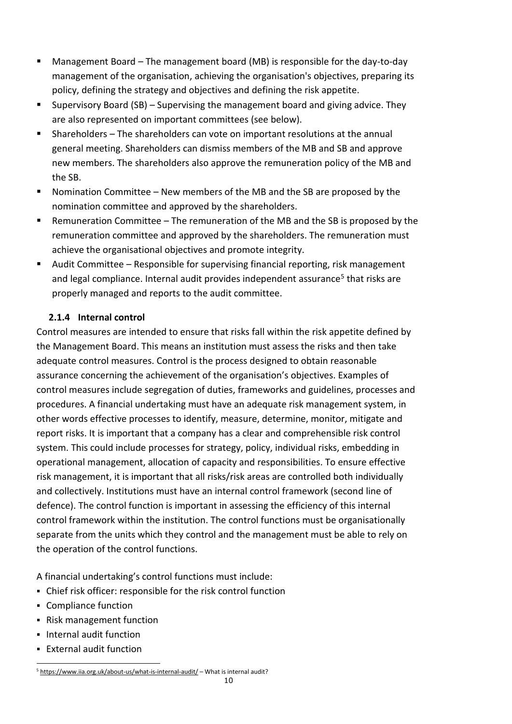- Management Board The management board (MB) is responsible for the day-to-day management of the organisation, achieving the organisation's objectives, preparing its policy, defining the strategy and objectives and defining the risk appetite.
- Supervisory Board (SB) Supervising the management board and giving advice. They are also represented on important committees (see below).
- Shareholders The shareholders can vote on important resolutions at the annual general meeting. Shareholders can dismiss members of the MB and SB and approve new members. The shareholders also approve the remuneration policy of the MB and the SB.
- Nomination Committee New members of the MB and the SB are proposed by the nomination committee and approved by the shareholders.
- Remuneration Committee The remuneration of the MB and the SB is proposed by the remuneration committee and approved by the shareholders. The remuneration must achieve the organisational objectives and promote integrity.
- Audit Committee Responsible for supervising financial reporting, risk management and legal compliance. Internal audit provides independent assurance<sup>5</sup> that risks are properly managed and reports to the audit committee.

#### **2.1.4 Internal control**

Control measures are intended to ensure that risks fall within the risk appetite defined by the Management Board. This means an institution must assess the risks and then take adequate control measures. Control is the process designed to obtain reasonable assurance concerning the achievement of the organisation's objectives. Examples of control measures include segregation of duties, frameworks and guidelines, processes and procedures. A financial undertaking must have an adequate risk management system, in other words effective processes to identify, measure, determine, monitor, mitigate and report risks. It is important that a company has a clear and comprehensible risk control system. This could include processes for strategy, policy, individual risks, embedding in operational management, allocation of capacity and responsibilities. To ensure effective risk management, it is important that all risks/risk areas are controlled both individually and collectively. Institutions must have an internal control framework (second line of defence). The control function is important in assessing the efficiency of this internal control framework within the institution. The control functions must be organisationally separate from the units which they control and the management must be able to rely on the operation of the control functions.

A financial undertaking's control functions must include:

- Chief risk officer: responsible for the risk control function
- Compliance function
- Risk management function
- **·** Internal audit function
- **External audit function**

<sup>5</sup> <https://www.iia.org.uk/about-us/what-is-internal-audit/> – What is internal audit?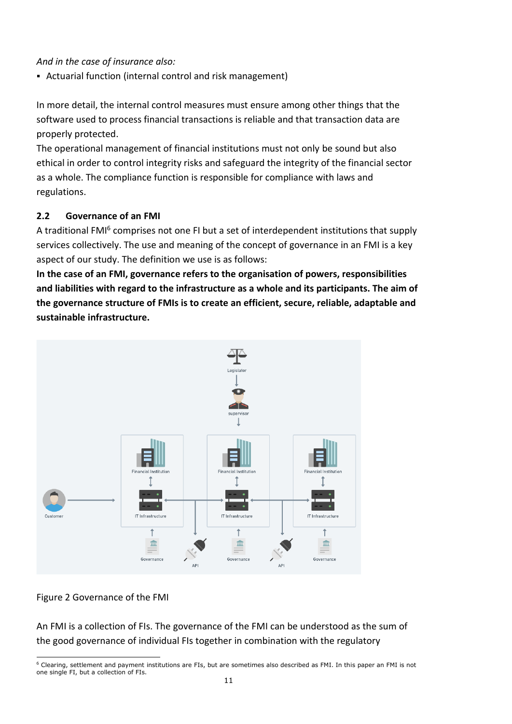#### *And in the case of insurance also:*

▪ Actuarial function (internal control and risk management)

In more detail, the internal control measures must ensure among other things that the software used to process financial transactions is reliable and that transaction data are properly protected.

The operational management of financial institutions must not only be sound but also ethical in order to control integrity risks and safeguard the integrity of the financial sector as a whole. The compliance function is responsible for compliance with laws and regulations.

#### **2.2 Governance of an FMI**

A traditional FMI<sup>6</sup> comprises not one FI but a set of interdependent institutions that supply services collectively. The use and meaning of the concept of governance in an FMI is a key aspect of our study. The definition we use is as follows:

**In the case of an FMI, governance refers to the organisation of powers, responsibilities and liabilities with regard to the infrastructure as a whole and its participants. The aim of the governance structure of FMIs is to create an efficient, secure, reliable, adaptable and sustainable infrastructure.** 



## Figure 2 Governance of the FMI

An FMI is a collection of FIs. The governance of the FMI can be understood as the sum of the good governance of individual FIs together in combination with the regulatory

<sup>1</sup> <sup>6</sup> Clearing, settlement and payment institutions are FIs, but are sometimes also described as FMI. In this paper an FMI is not one single FI, but a collection of FIs.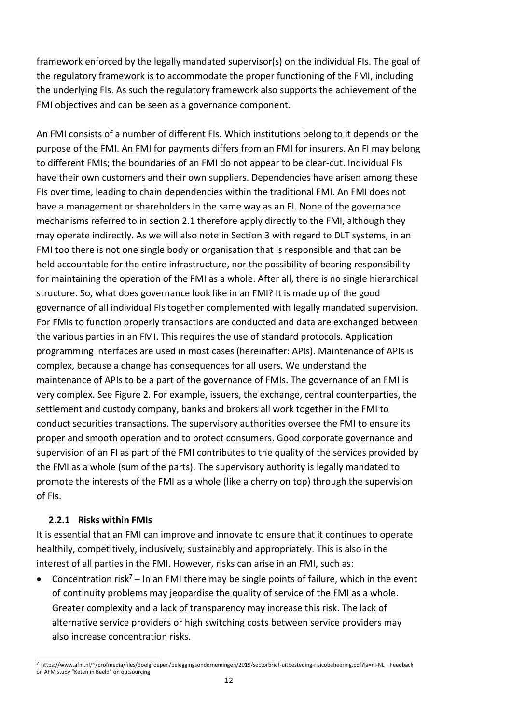framework enforced by the legally mandated supervisor(s) on the individual FIs. The goal of the regulatory framework is to accommodate the proper functioning of the FMI, including the underlying FIs. As such the regulatory framework also supports the achievement of the FMI objectives and can be seen as a governance component.

An FMI consists of a number of different FIs. Which institutions belong to it depends on the purpose of the FMI. An FMI for payments differs from an FMI for insurers. An FI may belong to different FMIs; the boundaries of an FMI do not appear to be clear-cut. Individual FIs have their own customers and their own suppliers. Dependencies have arisen among these FIs over time, leading to chain dependencies within the traditional FMI. An FMI does not have a management or shareholders in the same way as an FI. None of the governance mechanisms referred to in section 2.1 therefore apply directly to the FMI, although they may operate indirectly. As we will also note in Section 3 with regard to DLT systems, in an FMI too there is not one single body or organisation that is responsible and that can be held accountable for the entire infrastructure, nor the possibility of bearing responsibility for maintaining the operation of the FMI as a whole. After all, there is no single hierarchical structure. So, what does governance look like in an FMI? It is made up of the good governance of all individual FIs together complemented with legally mandated supervision. For FMIs to function properly transactions are conducted and data are exchanged between the various parties in an FMI. This requires the use of standard protocols. Application programming interfaces are used in most cases (hereinafter: APIs). Maintenance of APIs is complex, because a change has consequences for all users. We understand the maintenance of APIs to be a part of the governance of FMIs. The governance of an FMI is very complex. See Figure 2. For example, issuers, the exchange, central counterparties, the settlement and custody company, banks and brokers all work together in the FMI to conduct securities transactions. The supervisory authorities oversee the FMI to ensure its proper and smooth operation and to protect consumers. Good corporate governance and supervision of an FI as part of the FMI contributes to the quality of the services provided by the FMI as a whole (sum of the parts). The supervisory authority is legally mandated to promote the interests of the FMI as a whole (like a cherry on top) through the supervision of FIs.

#### **2.2.1 Risks within FMIs**

It is essential that an FMI can improve and innovate to ensure that it continues to operate healthily, competitively, inclusively, sustainably and appropriately. This is also in the interest of all parties in the FMI. However, risks can arise in an FMI, such as:

Concentration risk<sup>7</sup> – In an FMI there may be single points of failure, which in the event of continuity problems may jeopardise the quality of service of the FMI as a whole. Greater complexity and a lack of transparency may increase this risk. The lack of alternative service providers or high switching costs between service providers may also increase concentration risks.

<sup>1</sup> <sup>7</sup> <https://www.afm.nl/~/profmedia/files/doelgroepen/beleggingsondernemingen/2019/sectorbrief-uitbesteding-risicobeheering.pdf?la=nl-NL> – Feedback on AFM study "Keten in Beeld" on outsourcing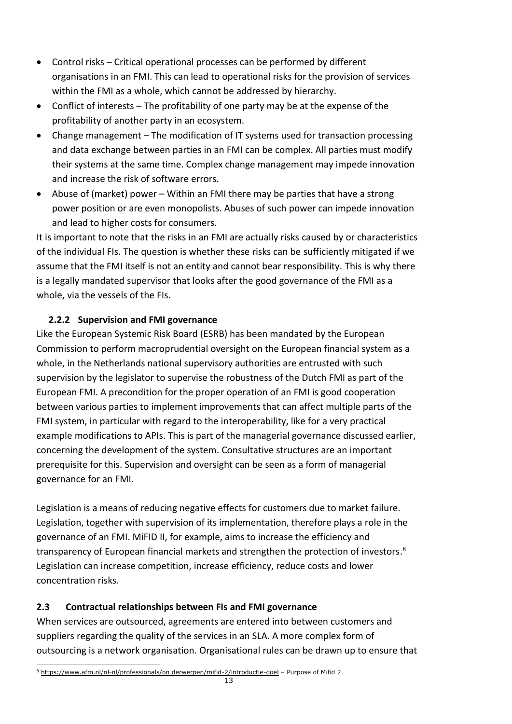- Control risks Critical operational processes can be performed by different organisations in an FMI. This can lead to operational risks for the provision of services within the FMI as a whole, which cannot be addressed by hierarchy.
- Conflict of interests The profitability of one party may be at the expense of the profitability of another party in an ecosystem.
- Change management The modification of IT systems used for transaction processing and data exchange between parties in an FMI can be complex. All parties must modify their systems at the same time. Complex change management may impede innovation and increase the risk of software errors.
- Abuse of (market) power Within an FMI there may be parties that have a strong power position or are even monopolists. Abuses of such power can impede innovation and lead to higher costs for consumers.

It is important to note that the risks in an FMI are actually risks caused by or characteristics of the individual FIs. The question is whether these risks can be sufficiently mitigated if we assume that the FMI itself is not an entity and cannot bear responsibility. This is why there is a legally mandated supervisor that looks after the good governance of the FMI as a whole, via the vessels of the FIs.

## **2.2.2 Supervision and FMI governance**

Like the European Systemic Risk Board (ESRB) has been mandated by the European Commission to perform macroprudential oversight on the European financial system as a whole, in the Netherlands national supervisory authorities are entrusted with such supervision by the legislator to supervise the robustness of the Dutch FMI as part of the European FMI. A precondition for the proper operation of an FMI is good cooperation between various parties to implement improvements that can affect multiple parts of the FMI system, in particular with regard to the interoperability, like for a very practical example modifications to APIs. This is part of the managerial governance discussed earlier, concerning the development of the system. Consultative structures are an important prerequisite for this. Supervision and oversight can be seen as a form of managerial governance for an FMI.

Legislation is a means of reducing negative effects for customers due to market failure. Legislation, together with supervision of its implementation, therefore plays a role in the governance of an FMI. MiFID II, for example, aims to increase the efficiency and transparency of European financial markets and strengthen the protection of investors.<sup>8</sup> Legislation can increase competition, increase efficiency, reduce costs and lower concentration risks.

## **2.3 Contractual relationships between FIs and FMI governance**

When services are outsourced, agreements are entered into between customers and suppliers regarding the quality of the services in an SLA. A more complex form of outsourcing is a network organisation. Organisational rules can be drawn up to ensure that

ł <sup>8</sup> [https://www.afm.nl/nl-nl/professionals/on derwerpen/mifid-2/introductie-doel](https://www.afm.nl/nl-nl/professionals/onderwerpen/mifid-2/introductie-doel) – Purpose of Mifid 2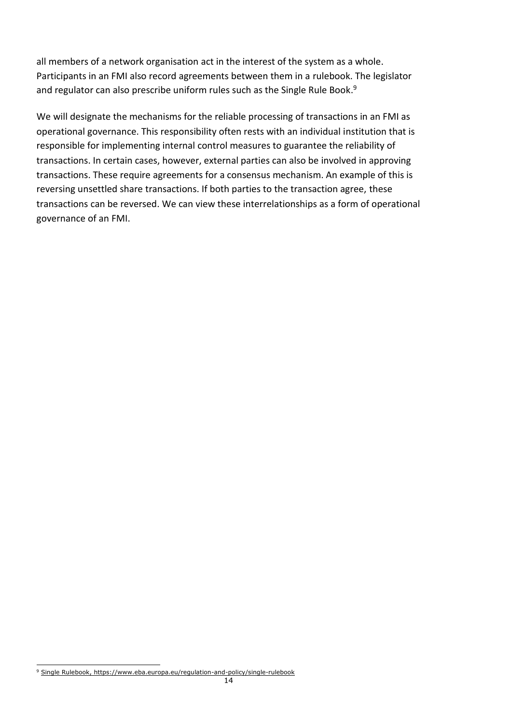all members of a network organisation act in the interest of the system as a whole. Participants in an FMI also record agreements between them in a rulebook. The legislator and regulator can also prescribe uniform rules such as the Single Rule Book.<sup>9</sup>

We will designate the mechanisms for the reliable processing of transactions in an FMI as operational governance. This responsibility often rests with an individual institution that is responsible for implementing internal control measures to guarantee the reliability of transactions. In certain cases, however, external parties can also be involved in approving transactions. These require agreements for a consensus mechanism. An example of this is reversing unsettled share transactions. If both parties to the transaction agree, these transactions can be reversed. We can view these interrelationships as a form of operational governance of an FMI.

ł <sup>9</sup> [Single Rulebook,](https://www.consilium.europa.eu/nl/policies/banking-union/single-rulebook/) https://www.eba.europa.eu/regulation-and-policy/single-rulebook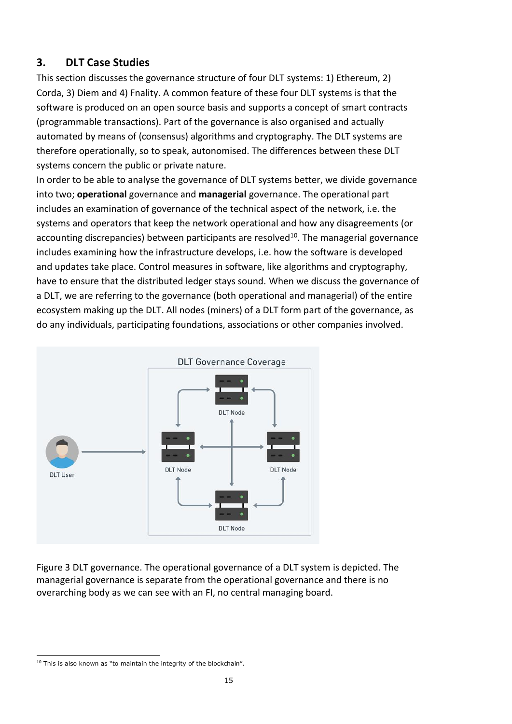## **3. DLT Case Studies**

This section discusses the governance structure of four DLT systems: 1) Ethereum, 2) Corda, 3) Diem and 4) Fnality. A common feature of these four DLT systems is that the software is produced on an open source basis and supports a concept of smart contracts (programmable transactions). Part of the governance is also organised and actually automated by means of (consensus) algorithms and cryptography. The DLT systems are therefore operationally, so to speak, autonomised. The differences between these DLT systems concern the public or private nature.

In order to be able to analyse the governance of DLT systems better, we divide governance into two; **operational** governance and **managerial** governance. The operational part includes an examination of governance of the technical aspect of the network, i.e. the systems and operators that keep the network operational and how any disagreements (or accounting discrepancies) between participants are resolved $10$ . The managerial governance includes examining how the infrastructure develops, i.e. how the software is developed and updates take place. Control measures in software, like algorithms and cryptography, have to ensure that the distributed ledger stays sound. When we discuss the governance of a DLT, we are referring to the governance (both operational and managerial) of the entire ecosystem making up the DLT. All nodes (miners) of a DLT form part of the governance, as do any individuals, participating foundations, associations or other companies involved.



Figure 3 DLT governance. The operational governance of a DLT system is depicted. The managerial governance is separate from the operational governance and there is no overarching body as we can see with an FI, no central managing board.

<sup>1</sup> <sup>10</sup> This is also known as "to maintain the integrity of the blockchain".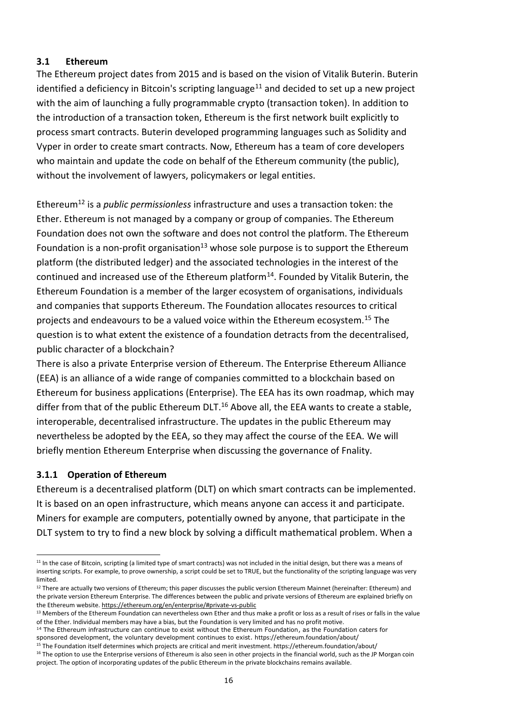#### **3.1 Ethereum**

The Ethereum project dates from 2015 and is based on the vision of Vitalik Buterin. Buterin identified a deficiency in Bitcoin's scripting language $^{11}$  and decided to set up a new project with the aim of launching a fully programmable crypto (transaction token). In addition to the introduction of a transaction token, Ethereum is the first network built explicitly to process smart contracts. Buterin developed programming languages such as Solidity and Vyper in order to create smart contracts. Now, Ethereum has a team of core developers who maintain and update the code on behalf of the Ethereum community (the public), without the involvement of lawyers, policymakers or legal entities.

Ethereum<sup>12</sup> is a *public permissionless* infrastructure and uses a transaction token: the Ether. Ethereum is not managed by a company or group of companies. The Ethereum Foundation does not own the software and does not control the platform. The Ethereum Foundation is a non-profit organisation<sup>13</sup> whose sole purpose is to support the Ethereum platform (the distributed ledger) and the associated technologies in the interest of the continued and increased use of the Ethereum platform $14$ . Founded by Vitalik Buterin, the Ethereum Foundation is a member of the larger ecosystem of organisations, individuals and companies that supports Ethereum. The Foundation allocates resources to critical projects and endeavours to be a valued voice within the Ethereum ecosystem.<sup>15</sup> The question is to what extent the existence of a foundation detracts from the decentralised, public character of a blockchain?

There is also a private Enterprise version of Ethereum. The Enterprise Ethereum Alliance (EEA) is an alliance of a wide range of companies committed to a blockchain based on Ethereum for business applications (Enterprise). The EEA has its own roadmap, which may differ from that of the public Ethereum DLT.<sup>16</sup> Above all, the EEA wants to create a stable, interoperable, decentralised infrastructure. The updates in the public Ethereum may nevertheless be adopted by the EEA, so they may affect the course of the EEA. We will briefly mention Ethereum Enterprise when discussing the governance of Fnality.

#### **3.1.1 Operation of Ethereum**

ł

Ethereum is a decentralised platform (DLT) on which smart contracts can be implemented. It is based on an open infrastructure, which means anyone can access it and participate. Miners for example are computers, potentially owned by anyone, that participate in the DLT system to try to find a new block by solving a difficult mathematical problem. When a

 $11$  In the case of Bitcoin, scripting (a limited type of smart contracts) was not included in the initial design, but there was a means of inserting scripts. For example, to prove ownership, a script could be set to TRUE, but the functionality of the scripting language was very limited.

<sup>&</sup>lt;sup>12</sup> There are actually two versions of Ethereum; this paper discusses the public version Ethereum Mainnet (hereinafter: Ethereum) and the private version Ethereum Enterprise. The differences between the public and private versions of Ethereum are explained briefly on the Ethereum website[. https://ethereum.org/en/enterprise/#private-vs-public](https://ethereum.org/en/enterprise/#private-vs-public)

<sup>&</sup>lt;sup>13</sup> Members of the Ethereum Foundation can nevertheless own Ether and thus make a profit or loss as a result of rises or falls in the value of the Ether. Individual members may have a bias, but the Foundation is very limited and has no profit motive.

<sup>&</sup>lt;sup>14</sup> The Ethereum infrastructure can continue to exist without the Ethereum Foundation, as the Foundation caters for sponsored development, the voluntary development continues to exist. https://ethereum.foundation/about/

<sup>15</sup> The Foundation itself determines which projects are critical and merit investment. https://ethereum.foundation/about/ <sup>16</sup> The option to use the Enterprise versions of Ethereum is also seen in other projects in the financial world, such as the JP Morgan coin project. The option of incorporating updates of the public Ethereum in the private blockchains remains available.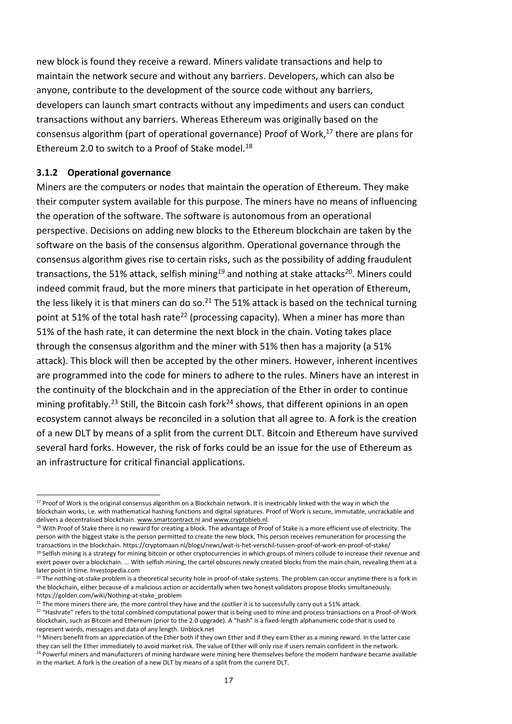new block is found they receive a reward. Miners validate transactions and help to maintain the network secure and without any barriers. Developers, which can also be anyone, contribute to the development of the source code without any barriers, developers can launch smart contracts without any impediments and users can conduct transactions without any barriers. Whereas Ethereum was originally based on the consensus algorithm (part of operational governance) Proof of Work,<sup>17</sup> there are plans for Ethereum 2.0 to switch to a Proof of Stake model.<sup>18</sup>

#### **3.1.2 Operational governance**

ł

Miners are the computers or nodes that maintain the operation of Ethereum. They make their computer system available for this purpose. The miners have no means of influencing the operation of the software. The software is autonomous from an operational perspective. Decisions on adding new blocks to the Ethereum blockchain are taken by the software on the basis of the consensus algorithm. Operational governance through the consensus algorithm gives rise to certain risks, such as the possibility of adding fraudulent transactions, the 51% attack, selfish mining*<sup>19</sup>* and nothing at stake attacks*<sup>20</sup>* . Miners could indeed commit fraud, but the more miners that participate in het operation of Ethereum, the less likely it is that miners can do so.<sup>21</sup> The 51% attack is based on the technical turning point at 51% of the total hash rate<sup>22</sup> (processing capacity). When a miner has more than 51% of the hash rate, it can determine the next block in the chain. Voting takes place through the consensus algorithm and the miner with 51% then has a majority (a 51% attack). This block will then be accepted by the other miners. However, inherent incentives are programmed into the code for miners to adhere to the rules. Miners have an interest in the continuity of the blockchain and in the appreciation of the Ether in order to continue mining profitably.<sup>23</sup> Still, the Bitcoin cash fork<sup>24</sup> shows, that different opinions in an open ecosystem cannot always be reconciled in a solution that all agree to. A fork is the creation of a new DLT by means of a split from the current DLT. Bitcoin and Ethereum have survived several hard forks. However, the risk of forks could be an issue for the use of Ethereum as an infrastructure for critical financial applications.

<sup>&</sup>lt;sup>17</sup> Proof of Work is the original consensus algorithm on a Blockchain network. It is inextricably linked with the way in which the blockchain works, i.e. with mathematical hashing functions and digital signatures. Proof of Work is secure, immutable, uncrackable and delivers a decentralised blockchain[. www.smartcontract.nl](http://www.smartcontract.nl/) an[d www.cryptobieb.nl.](http://www.cryptobieb.nl/)

<sup>18</sup> With Proof of Stake there is no reward for creating a block. The advantage of Proof of Stake is a more efficient use of electricity. The person with the biggest stake is the person permitted to create the new block. This person receives remuneration for processing the transactions in the blockchain. https://cryptomaan.nl/blogs/news/wat-is-het-verschil-tussen-proof-of-work-en-proof-of-stake/ <sup>19</sup> Selfish mining is a strategy for mining bitcoin or other cryptocurrencies in which groups of miners collude to increase their revenue and

exert power over a blockchain. ... With selfish mining, the cartel obscures newly created blocks from the main chain, revealing them at a later point in time. Investopedia.com

<sup>&</sup>lt;sup>20</sup> The nothing-at-stake problem is a theoretical security hole in proof-of-stake systems. The problem can occur anytime there is a fork in the blockchain, either because of a malicious action or accidentally when two honest validators propose blocks simultaneously. https://golden.com/wiki/Nothing-at-stake\_problem

 $21$  The more miners there are, the more control they have and the costlier it is to successfully carry out a 51% attack. <sup>22</sup> "Hashrate" refers to the total combined computational power that is being used to mine and process transactions on a Proof-of-Work blockchain, such as Bitcoin and Ethereum (prior to the 2.0 upgrade). A "hash" is a fixed-length alphanumeric code that is used to represent words, messages and data of any length. Unblock.net

<sup>&</sup>lt;sup>23</sup> Miners benefit from an appreciation of the Ether both if they own Ether and if they earn Ether as a mining reward. In the latter case they can sell the Ether immediately to avoid market risk. The value of Ether will only rise if users remain confident in the network. <sup>24</sup> Powerful miners and manufacturers of mining hardware were mining here themselves before the modern hardware became available

in the market. A fork is the creation of a new DLT by means of a split from the current DLT.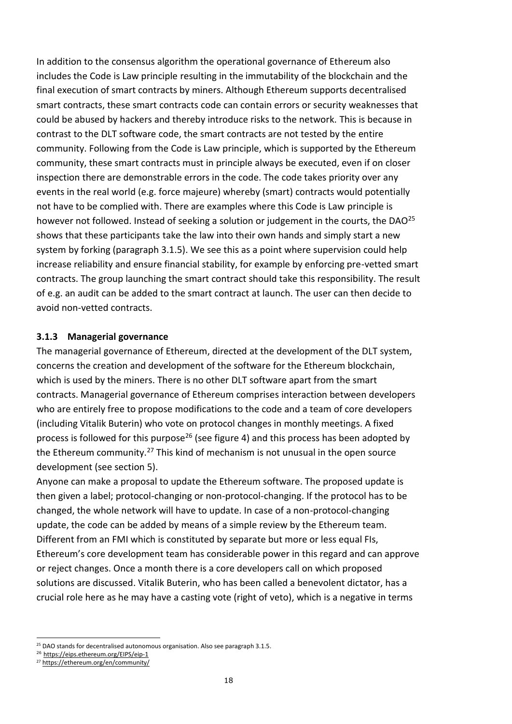In addition to the consensus algorithm the operational governance of Ethereum also includes the Code is Law principle resulting in the immutability of the blockchain and the final execution of smart contracts by miners. Although Ethereum supports decentralised smart contracts, these smart contracts code can contain errors or security weaknesses that could be abused by hackers and thereby introduce risks to the network. This is because in contrast to the DLT software code, the smart contracts are not tested by the entire community. Following from the Code is Law principle, which is supported by the Ethereum community, these smart contracts must in principle always be executed, even if on closer inspection there are demonstrable errors in the code. The code takes priority over any events in the real world (e.g. force majeure) whereby (smart) contracts would potentially not have to be complied with. There are examples where this Code is Law principle is however not followed. Instead of seeking a solution or judgement in the courts, the DAO<sup>25</sup> shows that these participants take the law into their own hands and simply start a new system by forking (paragraph 3.1.5). We see this as a point where supervision could help increase reliability and ensure financial stability, for example by enforcing pre-vetted smart contracts. The group launching the smart contract should take this responsibility. The result of e.g. an audit can be added to the smart contract at launch. The user can then decide to avoid non-vetted contracts.

#### **3.1.3 Managerial governance**

The managerial governance of Ethereum, directed at the development of the DLT system, concerns the creation and development of the software for the Ethereum blockchain, which is used by the miners. There is no other DLT software apart from the smart contracts. Managerial governance of Ethereum comprises interaction between developers who are entirely free to propose modifications to the code and a team of core developers (including Vitalik Buterin) who vote on protocol changes in monthly meetings. A fixed process is followed for this purpose<sup>26</sup> (see figure 4) and this process has been adopted by the Ethereum community.<sup>27</sup> This kind of mechanism is not unusual in the open source development (see section 5).

Anyone can make a proposal to update the Ethereum software. The proposed update is then given a label; protocol-changing or non-protocol-changing. If the protocol has to be changed, the whole network will have to update. In case of a non-protocol-changing update, the code can be added by means of a simple review by the Ethereum team. Different from an FMI which is constituted by separate but more or less equal FIs, Ethereum's core development team has considerable power in this regard and can approve or reject changes. Once a month there is a core developers call on which proposed solutions are discussed. Vitalik Buterin, who has been called a benevolent dictator, has a crucial role here as he may have a casting vote (right of veto), which is a negative in terms

ł <sup>25</sup> DAO stands for decentralised autonomous organisation. Also see paragraph 3.1.5.

<sup>&</sup>lt;sup>26</sup> <https://eips.ethereum.org/EIPS/eip-1>

<sup>27</sup> <https://ethereum.org/en/community/>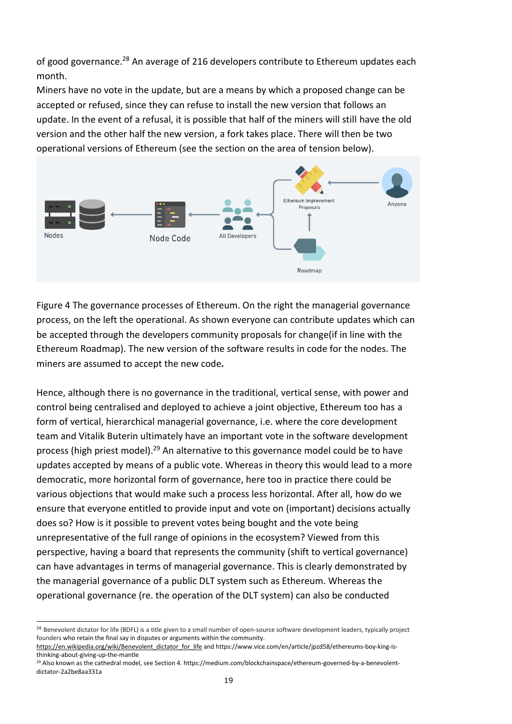of good governance.<sup>28</sup> An average of 216 developers contribute to Ethereum updates each month.

Miners have no vote in the update, but are a means by which a proposed change can be accepted or refused, since they can refuse to install the new version that follows an update. In the event of a refusal, it is possible that half of the miners will still have the old version and the other half the new version, a fork takes place. There will then be two operational versions of Ethereum (see the section on the area of tension below).



Figure 4 The governance processes of Ethereum. On the right the managerial governance process, on the left the operational. As shown everyone can contribute updates which can be accepted through the developers community proposals for change(if in line with the Ethereum Roadmap). The new version of the software results in code for the nodes. The miners are assumed to accept the new code*.*

Hence, although there is no governance in the traditional, vertical sense, with power and control being centralised and deployed to achieve a joint objective, Ethereum too has a form of vertical, hierarchical managerial governance, i.e. where the core development team and Vitalik Buterin ultimately have an important vote in the software development process (high priest model).<sup>29</sup> An alternative to this governance model could be to have updates accepted by means of a public vote. Whereas in theory this would lead to a more democratic, more horizontal form of governance, here too in practice there could be various objections that would make such a process less horizontal. After all, how do we ensure that everyone entitled to provide input and vote on (important) decisions actually does so? How is it possible to prevent votes being bought and the vote being unrepresentative of the full range of opinions in the ecosystem? Viewed from this perspective, having a board that represents the community (shift to vertical governance) can have advantages in terms of managerial governance. This is clearly demonstrated by the managerial governance of a public DLT system such as Ethereum. Whereas the operational governance (re. the operation of the DLT system) can also be conducted

1

<sup>&</sup>lt;sup>28</sup> Benevolent dictator for life (BDFL) is a title given to a small number of open-source software development leaders, typically project founders who retain the final say in disputes or arguments within the community.

[https://en.wikipedia.org/wiki/Benevolent\\_dictator\\_for\\_life](https://en.wikipedia.org/wiki/Benevolent_dictator_for_life) and https://www.vice.com/en/article/jpzd58/ethereums-boy-king-isthinking-about-giving-up-the-mantle

<sup>&</sup>lt;sup>29</sup> Also known as the cathedral model, see Section 4. https://medium.com/blockchainspace/ethereum-governed-by-a-benevolentdictator-2a2be8aa331a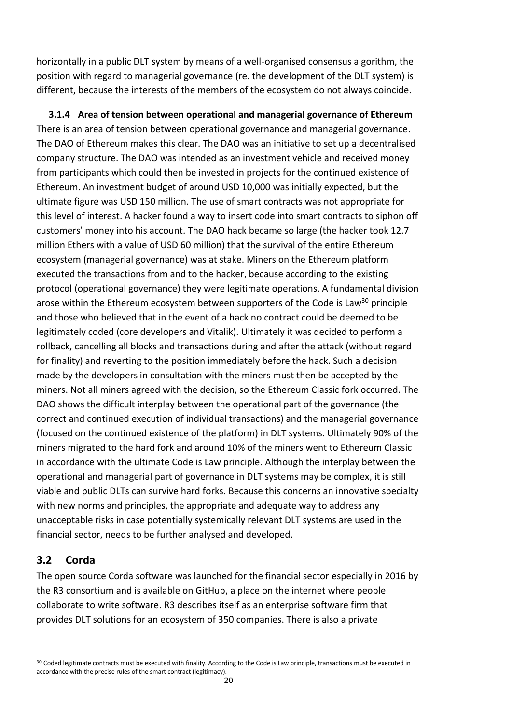horizontally in a public DLT system by means of a well-organised consensus algorithm, the position with regard to managerial governance (re. the development of the DLT system) is different, because the interests of the members of the ecosystem do not always coincide.

**3.1.4 Area of tension between operational and managerial governance of Ethereum** There is an area of tension between operational governance and managerial governance. The DAO of Ethereum makes this clear. The DAO was an initiative to set up a decentralised company structure. The DAO was intended as an investment vehicle and received money from participants which could then be invested in projects for the continued existence of Ethereum. An investment budget of around USD 10,000 was initially expected, but the ultimate figure was USD 150 million. The use of smart contracts was not appropriate for this level of interest. A hacker found a way to insert code into smart contracts to siphon off customers' money into his account. The DAO hack became so large (the hacker took 12.7 million Ethers with a value of USD 60 million) that the survival of the entire Ethereum ecosystem (managerial governance) was at stake. Miners on the Ethereum platform executed the transactions from and to the hacker, because according to the existing protocol (operational governance) they were legitimate operations. A fundamental division arose within the Ethereum ecosystem between supporters of the Code is Law<sup>30</sup> principle and those who believed that in the event of a hack no contract could be deemed to be legitimately coded (core developers and Vitalik). Ultimately it was decided to perform a rollback, cancelling all blocks and transactions during and after the attack (without regard for finality) and reverting to the position immediately before the hack. Such a decision made by the developers in consultation with the miners must then be accepted by the miners. Not all miners agreed with the decision, so the Ethereum Classic fork occurred. The DAO shows the difficult interplay between the operational part of the governance (the correct and continued execution of individual transactions) and the managerial governance (focused on the continued existence of the platform) in DLT systems. Ultimately 90% of the miners migrated to the hard fork and around 10% of the miners went to Ethereum Classic in accordance with the ultimate Code is Law principle. Although the interplay between the operational and managerial part of governance in DLT systems may be complex, it is still viable and public DLTs can survive hard forks. Because this concerns an innovative specialty with new norms and principles, the appropriate and adequate way to address any unacceptable risks in case potentially systemically relevant DLT systems are used in the financial sector, needs to be further analysed and developed.

## **3.2 Corda**

The open source Corda software was launched for the financial sector especially in 2016 by the R3 consortium and is available on GitHub, a place on the internet where people collaborate to write software. R3 describes itself as an enterprise software firm that provides DLT solutions for an ecosystem of 350 companies. There is also a private

<sup>1</sup> <sup>30</sup> Coded legitimate contracts must be executed with finality. According to the Code is Law principle, transactions must be executed in accordance with the precise rules of the smart contract (legitimacy).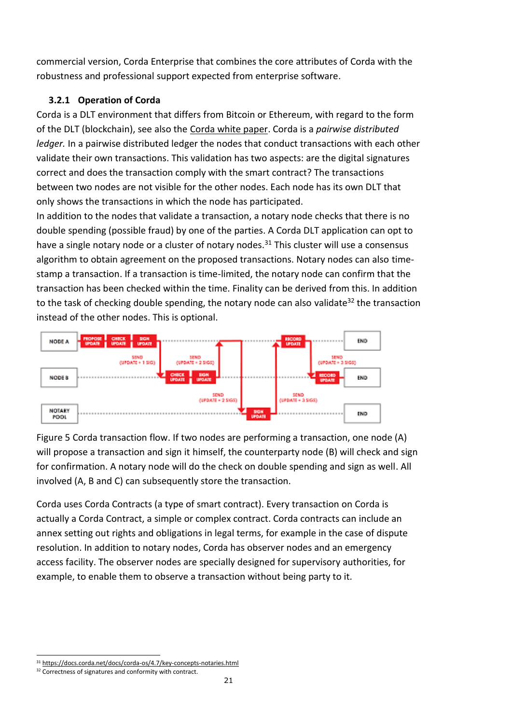commercial version, Corda Enterprise that combines the core attributes of Corda with the robustness and [professional](https://www.r3.com/professional-services/) support expected from enterprise software.

## **3.2.1 Operation of Corda**

Corda is a DLT environment that differs from Bitcoin or Ethereum, with regard to the form of the DLT (blockchain), see also the [Corda white paper.](https://docs.corda.net/en/pdf/corda-introductory-whitepaper.pdf) Corda is a *pairwise distributed ledger.* In a pairwise distributed ledger the nodes that conduct transactions with each other validate their own transactions. This validation has two aspects: are the digital signatures correct and does the transaction comply with the smart contract? The transactions between two nodes are not visible for the other nodes. Each node has its own DLT that only shows the transactions in which the node has participated.

In addition to the nodes that validate a transaction, a notary node checks that there is no double spending (possible fraud) by one of the parties. A Corda DLT application can opt to have a single notary node or a cluster of notary nodes.<sup>31</sup> This cluster will use a consensus algorithm to obtain agreement on the proposed transactions. Notary nodes can also timestamp a transaction. If a transaction is time-limited, the notary node can confirm that the transaction has been checked within the time. Finality can be derived from this. In addition to the task of checking double spending, the notary node can also validate<sup>32</sup> the transaction instead of the other nodes. This is optional.



Figure 5 Corda transaction flow. If two nodes are performing a transaction, one node (A) will propose a transaction and sign it himself, the counterparty node (B) will check and sign for confirmation. A notary node will do the check on double spending and sign as well. All involved (A, B and C) can subsequently store the transaction.

Corda uses Corda Contracts (a type of smart contract). Every transaction on Corda is actually a Corda Contract, a simple or complex contract. Corda contracts can include an annex setting out rights and obligations in legal terms, for example in the case of dispute resolution. In addition to notary nodes, Corda has observer nodes and an emergency access facility. The observer nodes are specially designed for supervisory authorities, for example, to enable them to observe a transaction without being party to it.

<sup>1</sup> <sup>31</sup> <https://docs.corda.net/docs/corda-os/4.7/key-concepts-notaries.html>

<sup>&</sup>lt;sup>32</sup> Correctness of signatures and conformity with contract.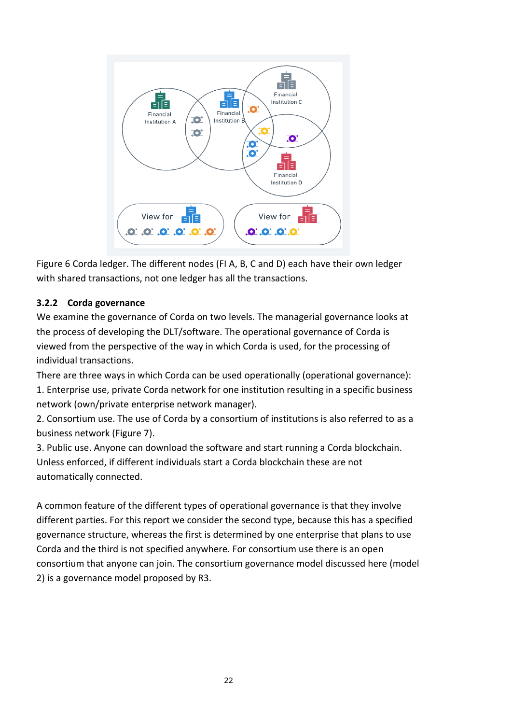

Figure 6 Corda ledger. The different nodes (FI A, B, C and D) each have their own ledger with shared transactions, not one ledger has all the transactions.

## **3.2.2 Corda governance**

We examine the governance of Corda on two levels. The managerial governance looks at the process of developing the DLT/software. The operational governance of Corda is viewed from the perspective of the way in which Corda is used, for the processing of individual transactions.

There are three ways in which Corda can be used operationally (operational governance): 1. Enterprise use, private Corda network for one institution resulting in a specific business network (own/private enterprise network manager).

2. Consortium use. The use of Corda by a consortium of institutions is also referred to as a business network (Figure 7).

3. Public use. Anyone can download the software and start running a Corda blockchain. Unless enforced, if different individuals start a Corda blockchain these are not automatically connected.

A common feature of the different types of operational governance is that they involve different parties. For this report we consider the second type, because this has a specified governance structure, whereas the first is determined by one enterprise that plans to use Corda and the third is not specified anywhere. For consortium use there is an open consortium that anyone can join. The consortium governance model discussed here (model 2) is a governance model proposed by R3.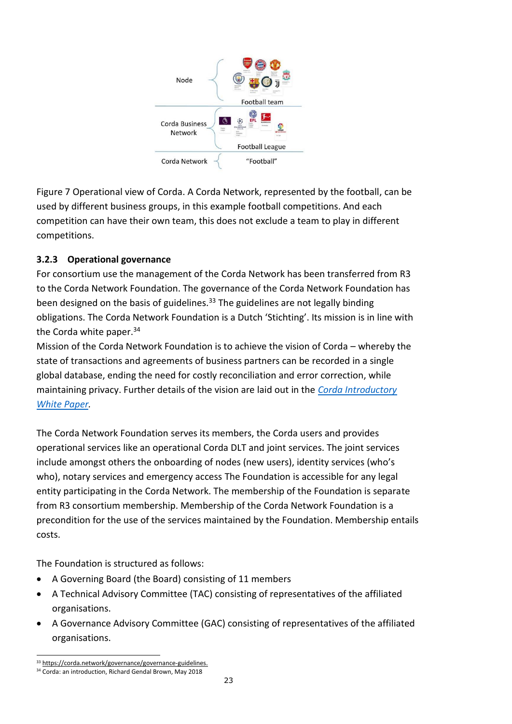

Figure 7 Operational view of Corda. A Corda Network, represented by the football, can be used by different business groups, in this example football competitions. And each competition can have their own team, this does not exclude a team to play in different competitions.

#### **3.2.3 Operational governance**

For consortium use the management of the Corda Network has been transferred from R3 to the Corda Network Foundation. The governance of the Corda Network Foundation has been designed on the basis of guidelines.<sup>33</sup> The guidelines are not legally binding obligations. The Corda Network Foundation is a Dutch 'Stichting'. Its mission is in line with the Corda white paper.<sup>34</sup>

Mission of the Corda Network Foundation is to achieve the vision of Corda – whereby the state of transactions and agreements of business partners can be recorded in a single global database, ending the need for costly reconciliation and error correction, while maintaining privacy. Further details of the vision are laid out in the *[Corda Introductory](https://www.corda.net/content/corda-platform-whitepaper.pdf)  [White Paper.](https://www.corda.net/content/corda-platform-whitepaper.pdf)*

The Corda Network Foundation serves its members, the Corda users and provides operational services like an operational Corda DLT and joint services. The joint services include amongst others the onboarding of nodes (new users), identity services (who's who), notary services and emergency access The Foundation is accessible for any legal entity participating in the Corda Network. The membership of the Foundation is separate from R3 consortium membership. Membership of the Corda Network Foundation is a precondition for the use of the services maintained by the Foundation. Membership entails costs.

The Foundation is structured as follows:

- A Governing Board (the Board) consisting of 11 members
- A Technical Advisory Committee (TAC) consisting of representatives of the affiliated organisations.
- A Governance Advisory Committee (GAC) consisting of representatives of the affiliated organisations.

1

<sup>33</sup> [https://corda.network/governance/governance-guidelines.](https://corda.network/governance/governance-guidelines)

<sup>34</sup> Corda: an introduction, Richard Gendal Brown, May 2018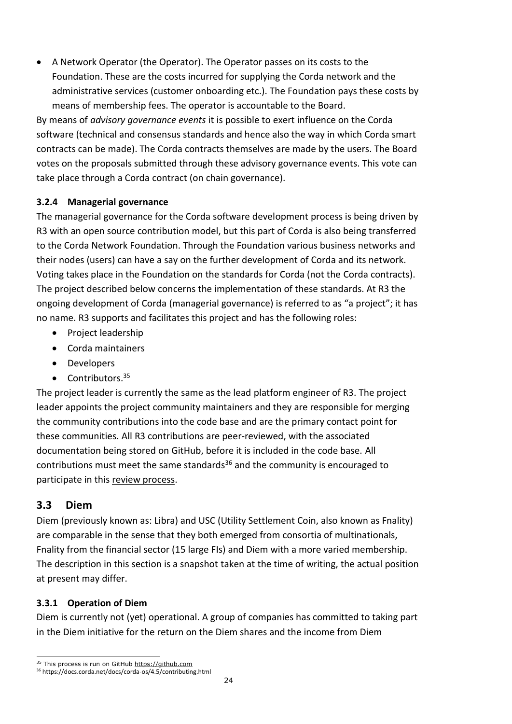• A Network Operator (the Operator). The Operator passes on its costs to the Foundation. These are the costs incurred for supplying the Corda network and the administrative services (customer onboarding etc.). The Foundation pays these costs by means of membership fees. The operator is accountable to the Board.

By means of *advisory governance events* it is possible to exert influence on the Corda software (technical and consensus standards and hence also the way in which Corda smart contracts can be made). The Corda contracts themselves are made by the users. The Board votes on the proposals submitted through these advisory governance events. This vote can take place through a Corda contract (on chain governance).

#### **3.2.4 Managerial governance**

The managerial governance for the Corda software development process is being driven by R3 with an open source contribution model, but this part of Corda is also being transferred to the Corda Network Foundation. Through the Foundation various business networks and their nodes (users) can have a say on the further development of Corda and its network. Voting takes place in the Foundation on the standards for Corda (not the Corda contracts). The project described below concerns the implementation of these standards. At R3 the ongoing development of Corda (managerial governance) is referred to as "a project"; it has no name. R3 supports and facilitates this project and has the following roles:

- Project leadership
- Corda maintainers
- Developers
- $\bullet$  Contributors.<sup>35</sup>

The project leader is currently the same as the lead platform engineer of R3. The project leader appoints the project community maintainers and they are responsible for merging the community contributions into the code base and are the primary contact point for these communities. All R3 contributions are peer-reviewed, with the associated documentation being stored on GitHub, before it is included in the code base. All contributions must meet the same standards<sup>36</sup> and the community is encouraged to participate in this [review process.](https://github.com/corda/corda/pulls)

## **3.3 Diem**

Diem (previously known as: Libra) and USC (Utility Settlement Coin, also known as Fnality) are comparable in the sense that they both emerged from consortia of multinationals, Fnality from the financial sector (15 large FIs) and Diem with a more varied membership. The description in this section is a snapshot taken at the time of writing, the actual position at present may differ.

## **3.3.1 Operation of Diem**

Diem is currently not (yet) operational. A group of companies has committed to taking part in the Diem initiative for the return on the Diem shares and the income from Diem

ł <sup>35</sup> This process is run on GitHub [https://github.com](https://github.com/)

<sup>36</sup> <https://docs.corda.net/docs/corda-os/4.5/contributing.html>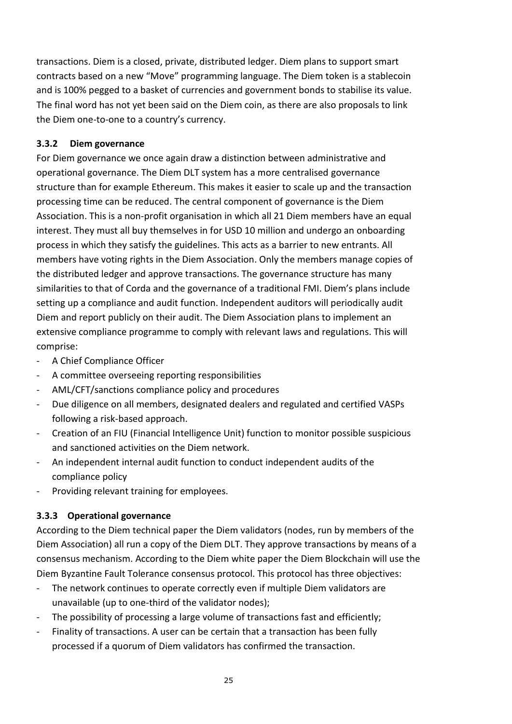transactions. Diem is a closed, private, distributed ledger. Diem plans to support smart contracts based on a new "Move" programming language. The Diem token is a stablecoin and is 100% pegged to a basket of currencies and government bonds to stabilise its value. The final word has not yet been said on the Diem coin, as there are also proposals to link the Diem one-to-one to a country's currency.

#### **3.3.2 Diem governance**

For Diem governance we once again draw a distinction between administrative and operational governance. The Diem DLT system has a more centralised governance structure than for example Ethereum. This makes it easier to scale up and the transaction processing time can be reduced. The central component of governance is the Diem Association. This is a non-profit organisation in which all 21 Diem members have an equal interest. They must all buy themselves in for USD 10 million and undergo an onboarding process in which they satisfy the guidelines. This acts as a barrier to new entrants. All members have voting rights in the Diem Association. Only the members manage copies of the distributed ledger and approve transactions. The governance structure has many similarities to that of Corda and the governance of a traditional FMI. Diem's plans include setting up a compliance and audit function. Independent auditors will periodically audit Diem and report publicly on their audit. The Diem Association plans to implement an extensive compliance programme to comply with relevant laws and regulations. This will comprise:

- A Chief Compliance Officer
- A committee overseeing reporting responsibilities
- AML/CFT/sanctions compliance policy and procedures
- Due diligence on all members, designated dealers and regulated and certified VASPs following a risk-based approach.
- Creation of an FIU (Financial Intelligence Unit) function to monitor possible suspicious and sanctioned activities on the Diem network.
- An independent internal audit function to conduct independent audits of the compliance policy
- Providing relevant training for employees.

## **3.3.3 Operational governance**

According to the Diem technical paper the Diem validators (nodes, run by members of the Diem Association) all run a copy of the Diem DLT. They approve transactions by means of a consensus mechanism. According to the Diem white paper the Diem Blockchain will use the Diem Byzantine Fault Tolerance consensus protocol. This protocol has three objectives:

- The network continues to operate correctly even if multiple Diem validators are unavailable (up to one-third of the validator nodes);
- The possibility of processing a large volume of transactions fast and efficiently;
- Finality of transactions. A user can be certain that a transaction has been fully processed if a quorum of Diem validators has confirmed the transaction.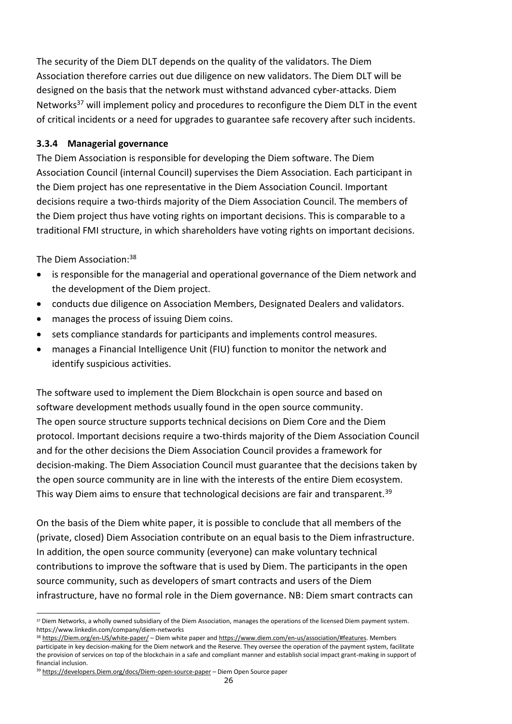The security of the Diem DLT depends on the quality of the validators. The Diem Association therefore carries out due diligence on new validators. The Diem DLT will be designed on the basis that the network must withstand advanced cyber-attacks. Diem Networks<sup>37</sup> will implement policy and procedures to reconfigure the Diem DLT in the event of critical incidents or a need for upgrades to guarantee safe recovery after such incidents.

#### **3.3.4 Managerial governance**

The Diem Association is responsible for developing the Diem software. The Diem Association Council (internal Council) supervises the Diem Association. Each participant in the Diem project has one representative in the Diem Association Council. Important decisions require a two-thirds majority of the Diem Association Council. The members of the Diem project thus have voting rights on important decisions. This is comparable to a traditional FMI structure, in which shareholders have voting rights on important decisions.

The Diem Association:<sup>38</sup>

- is responsible for the managerial and operational governance of the Diem network and the development of the Diem project.
- conducts due diligence on Association Members, Designated Dealers and validators.
- manages the process of issuing Diem coins.
- sets compliance standards for participants and implements control measures.
- manages a Financial Intelligence Unit (FIU) function to monitor the network and identify suspicious activities.

The software used to implement the Diem Blockchain is open source and based on software development methods usually found in the open source community. The open source structure supports technical decisions on Diem Core and the Diem protocol. Important decisions require a two-thirds majority of the Diem Association Council and for the other decisions the Diem Association Council provides a framework for decision-making. The Diem Association Council must guarantee that the decisions taken by the open source community are in line with the interests of the entire Diem ecosystem. This way Diem aims to ensure that technological decisions are fair and transparent.<sup>39</sup>

On the basis of the Diem white paper, it is possible to conclude that all members of the (private, closed) Diem Association contribute on an equal basis to the Diem infrastructure. In addition, the open source community (everyone) can make voluntary technical contributions to improve the software that is used by Diem. The participants in the open source community, such as developers of smart contracts and users of the Diem infrastructure, have no formal role in the Diem governance. NB: Diem smart contracts can

<sup>1</sup> <sup>37</sup> Diem Networks, a wholly owned subsidiary of the Diem Association, manages the operations of the licensed Diem payment system. https://www.linkedin.com/company/diem-networks

<sup>38</sup> [https://Diem.org/en-US/white-paper/](https://libra.org/en-US/white-paper/) – Diem white paper an[d https://www.diem.com/en-us/association/#features.](https://www.diem.com/en-us/association/#features) Members participate in key decision-making for the Diem network and the Reserve. They oversee the operation of the payment system, facilitate the provision of services on top of the blockchain in a safe and compliant manner and establish social impact grant-making in support of financial inclusion.

<sup>&</sup>lt;sup>39</sup> [https://developers.Diem.org/docs/Diem-open-source-paper](https://developers.libra.org/docs/libra-open-source-paper) – Diem Open Source paper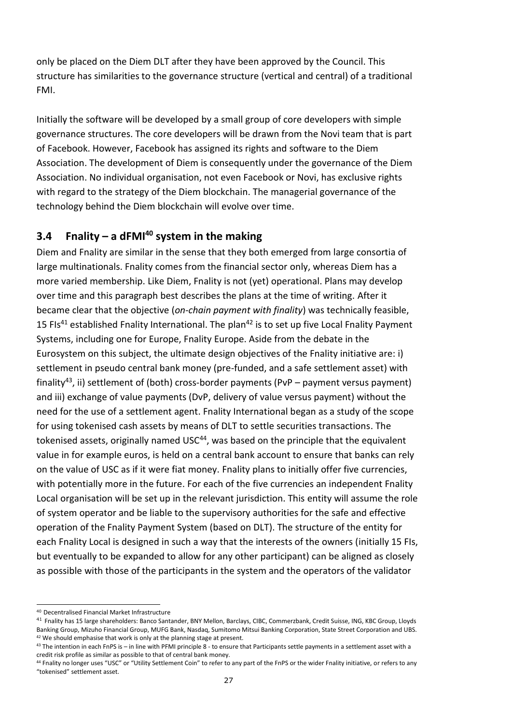only be placed on the Diem DLT after they have been approved by the Council. This structure has similarities to the governance structure (vertical and central) of a traditional FMI.

Initially the software will be developed by a small group of core developers with simple governance structures. The core developers will be drawn from the Novi team that is part of Facebook. However, Facebook has assigned its rights and software to the Diem Association. The development of Diem is consequently under the governance of the Diem Association. No individual organisation, not even Facebook or Novi, has exclusive rights with regard to the strategy of the Diem blockchain. The managerial governance of the technology behind the Diem blockchain will evolve over time.

## **3.4 Fnality – a dFMI<sup>40</sup> system in the making**

Diem and Fnality are similar in the sense that they both emerged from large consortia of large multinationals. Fnality comes from the financial sector only, whereas Diem has a more varied membership. Like Diem, Fnality is not (yet) operational. Plans may develop over time and this paragraph best describes the plans at the time of writing. After it became clear that the objective (*on-chain payment with finality*) was technically feasible, 15 FIs<sup>41</sup> established Fnality International. The plan<sup>42</sup> is to set up five Local Fnality Payment Systems, including one for Europe, Fnality Europe. Aside from the debate in the Eurosystem on this subject, the ultimate design objectives of the Fnality initiative are: i) settlement in pseudo central bank money (pre-funded, and a safe settlement asset) with finality<sup>43</sup>, ii) settlement of (both) cross-border payments (PvP – payment versus payment) and iii) exchange of value payments (DvP, delivery of value versus payment) without the need for the use of a settlement agent. Fnality International began as a study of the scope for using tokenised cash assets by means of DLT to settle securities transactions. The tokenised assets, originally named USC<sup>44</sup>, was based on the principle that the equivalent value in for example euros, is held on a central bank account to ensure that banks can rely on the value of USC as if it were fiat money. Fnality plans to initially offer five currencies, with potentially more in the future. For each of the five currencies an independent Fnality Local organisation will be set up in the relevant jurisdiction. This entity will assume the role of system operator and be liable to the supervisory authorities for the safe and effective operation of the Fnality Payment System (based on DLT). The structure of the entity for each Fnality Local is designed in such a way that the interests of the owners (initially 15 FIs, but eventually to be expanded to allow for any other participant) can be aligned as closely as possible with those of the participants in the system and the operators of the validator

1

<sup>40</sup> Decentralised Financial Market Infrastructure

<sup>41</sup> Fnality has 15 large shareholders: Banco Santander, BNY Mellon, Barclays, CIBC, Commerzbank, Credit Suisse, ING, KBC Group, Lloyds Banking Group, Mizuho Financial Group, MUFG Bank, Nasdaq, Sumitomo Mitsui Banking Corporation, State Street Corporation and UBS. <sup>42</sup> We should emphasise that work is only at the planning stage at present.

 $43$  The intention in each FnPS is – in line with PFMI principle 8 - to ensure that Participants settle payments in a settlement asset with a credit risk profile as similar as possible to that of central bank money.

<sup>44</sup> Fnality no longer uses "USC" or "Utility Settlement Coin" to refer to any part of the FnPS or the wider Fnality initiative, or refers to any "tokenised" settlement asset.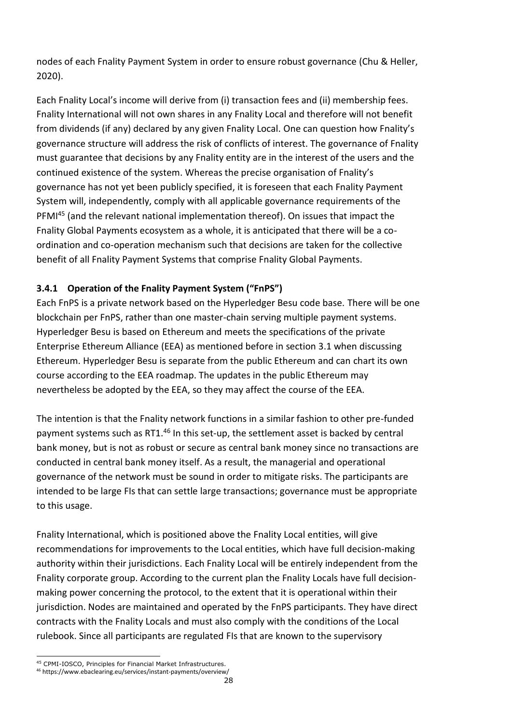nodes of each Fnality Payment System in order to ensure robust governance (Chu & Heller, 2020).

Each Fnality Local's income will derive from (i) transaction fees and (ii) membership fees. Fnality International will not own shares in any Fnality Local and therefore will not benefit from dividends (if any) declared by any given Fnality Local. One can question how Fnality's governance structure will address the risk of conflicts of interest. The governance of Fnality must guarantee that decisions by any Fnality entity are in the interest of the users and the continued existence of the system. Whereas the precise organisation of Fnality's governance has not yet been publicly specified, it is foreseen that each Fnality Payment System will, independently, comply with all applicable governance requirements of the PFMI<sup>45</sup> (and the relevant national implementation thereof). On issues that impact the Fnality Global Payments ecosystem as a whole, it is anticipated that there will be a coordination and co-operation mechanism such that decisions are taken for the collective benefit of all Fnality Payment Systems that comprise Fnality Global Payments.

## **3.4.1 Operation of the Fnality Payment System ("FnPS")**

Each FnPS is a private network based on the Hyperledger Besu code base. There will be one blockchain per FnPS, rather than one master-chain serving multiple payment systems. Hyperledger Besu is based on Ethereum and meets the specifications of the private Enterprise Ethereum Alliance (EEA) as mentioned before in section 3.1 when discussing Ethereum. Hyperledger Besu is separate from the public Ethereum and can chart its own course according to the EEA roadmap. The updates in the public Ethereum may nevertheless be adopted by the EEA, so they may affect the course of the EEA.

The intention is that the Fnality network functions in a similar fashion to other pre-funded payment systems such as RT1.<sup>46</sup> In this set-up, the settlement asset is backed by central bank money, but is not as robust or secure as central bank money since no transactions are conducted in central bank money itself. As a result, the managerial and operational governance of the network must be sound in order to mitigate risks. The participants are intended to be large FIs that can settle large transactions; governance must be appropriate to this usage.

Fnality International, which is positioned above the Fnality Local entities, will give recommendations for improvements to the Local entities, which have full decision-making authority within their jurisdictions. Each Fnality Local will be entirely independent from the Fnality corporate group. According to the current plan the Fnality Locals have full decisionmaking power concerning the protocol, to the extent that it is operational within their jurisdiction. Nodes are maintained and operated by the FnPS participants. They have direct contracts with the Fnality Locals and must also comply with the conditions of the Local rulebook. Since all participants are regulated FIs that are known to the supervisory

ł <sup>45</sup> CPMI-IOSCO, Principles for Financial Market Infrastructures. <sup>46</sup> https://www.ebaclearing.eu/services/instant-payments/overview/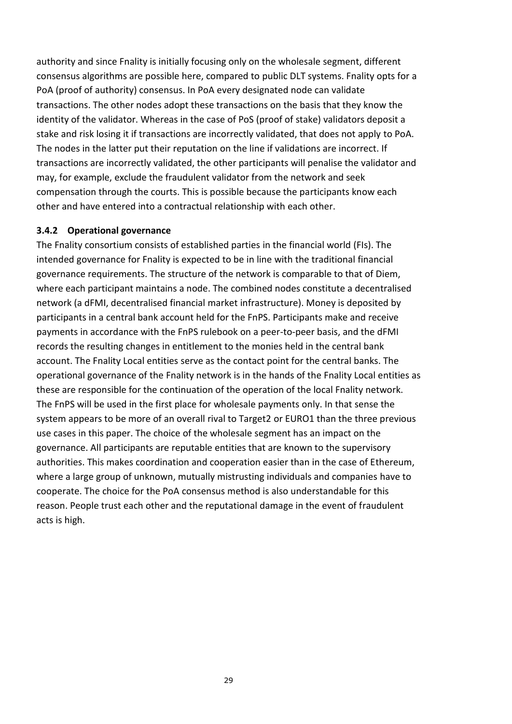authority and since Fnality is initially focusing only on the wholesale segment, different consensus algorithms are possible here, compared to public DLT systems. Fnality opts for a PoA (proof of authority) consensus. In PoA every designated node can validate transactions. The other nodes adopt these transactions on the basis that they know the identity of the validator. Whereas in the case of PoS (proof of stake) validators deposit a stake and risk losing it if transactions are incorrectly validated, that does not apply to PoA. The nodes in the latter put their reputation on the line if validations are incorrect. If transactions are incorrectly validated, the other participants will penalise the validator and may, for example, exclude the fraudulent validator from the network and seek compensation through the courts. This is possible because the participants know each other and have entered into a contractual relationship with each other.

#### **3.4.2 Operational governance**

The Fnality consortium consists of established parties in the financial world (FIs). The intended governance for Fnality is expected to be in line with the traditional financial governance requirements. The structure of the network is comparable to that of Diem, where each participant maintains a node. The combined nodes constitute a decentralised network (a dFMI, decentralised financial market infrastructure). Money is deposited by participants in a central bank account held for the FnPS. Participants make and receive payments in accordance with the FnPS rulebook on a peer-to-peer basis, and the dFMI records the resulting changes in entitlement to the monies held in the central bank account. The Fnality Local entities serve as the contact point for the central banks. The operational governance of the Fnality network is in the hands of the Fnality Local entities as these are responsible for the continuation of the operation of the local Fnality network. The FnPS will be used in the first place for wholesale payments only. In that sense the system appears to be more of an overall rival to Target2 or EURO1 than the three previous use cases in this paper. The choice of the wholesale segment has an impact on the governance. All participants are reputable entities that are known to the supervisory authorities. This makes coordination and cooperation easier than in the case of Ethereum, where a large group of unknown, mutually mistrusting individuals and companies have to cooperate. The choice for the PoA consensus method is also understandable for this reason. People trust each other and the reputational damage in the event of fraudulent acts is high.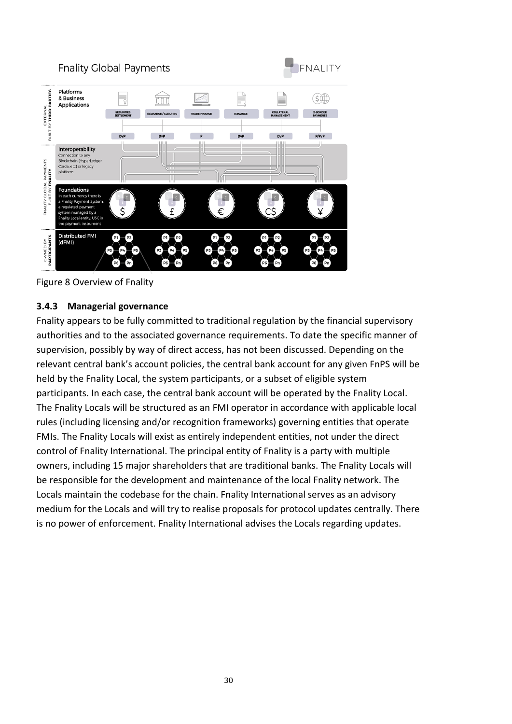## **Fnality Global Payments**





Figure 8 Overview of Fnality

## **3.4.3 Managerial governance**

Fnality appears to be fully committed to traditional regulation by the financial supervisory authorities and to the associated governance requirements. To date the specific manner of supervision, possibly by way of direct access, has not been discussed. Depending on the relevant central bank's account policies, the central bank account for any given FnPS will be held by the Fnality Local, the system participants, or a subset of eligible system participants. In each case, the central bank account will be operated by the Fnality Local. The Fnality Locals will be structured as an FMI operator in accordance with applicable local rules (including licensing and/or recognition frameworks) governing entities that operate FMIs. The Fnality Locals will exist as entirely independent entities, not under the direct control of Fnality International. The principal entity of Fnality is a party with multiple owners, including 15 major shareholders that are traditional banks. The Fnality Locals will be responsible for the development and maintenance of the local Fnality network. The Locals maintain the codebase for the chain. Fnality International serves as an advisory medium for the Locals and will try to realise proposals for protocol updates centrally. There is no power of enforcement. Fnality International advises the Locals regarding updates.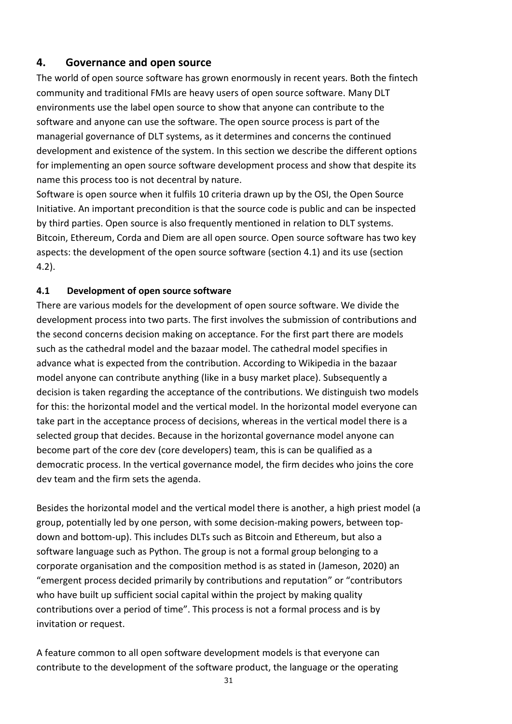## **4. Governance and open source**

The world of open source software has grown enormously in recent years. Both the fintech community and traditional FMIs are heavy users of open source software. Many DLT environments use the label open source to show that anyone can contribute to the software and anyone can use the software. The open source process is part of the managerial governance of DLT systems, as it determines and concerns the continued development and existence of the system. In this section we describe the different options for implementing an open source software development process and show that despite its name this process too is not decentral by nature.

Software is open source when it fulfils 10 criteria drawn up by the OSI, the Open Source Initiative. An important precondition is that the source code is public and can be inspected by third parties. Open source is also frequently mentioned in relation to DLT systems. Bitcoin, Ethereum, Corda and Diem are all open source. Open source software has two key aspects: the development of the open source software (section 4.1) and its use (section 4.2).

#### **4.1 Development of open source software**

There are various models for the development of open source software. We divide the development process into two parts. The first involves the submission of contributions and the second concerns decision making on acceptance. For the first part there are models such as the cathedral model and the bazaar model. The cathedral model specifies in advance what is expected from the contribution. According to Wikipedia in the bazaar model anyone can contribute anything (like in a busy market place). Subsequently a decision is taken regarding the acceptance of the contributions. We distinguish two models for this: the horizontal model and the vertical model. In the horizontal model everyone can take part in the acceptance process of decisions, whereas in the vertical model there is a selected group that decides. Because in the horizontal governance model anyone can become part of the core dev (core developers) team, this is can be qualified as a democratic process. In the vertical governance model, the firm decides who joins the core dev team and the firm sets the agenda.

Besides the horizontal model and the vertical model there is another, a high priest model (a group, potentially led by one person, with some decision-making powers, between topdown and bottom-up). This includes DLTs such as Bitcoin and Ethereum, but also a software language such as Python. The group is not a formal group belonging to a corporate organisation and the composition method is as stated in (Jameson, 2020) an "emergent process decided primarily by contributions and reputation" or "contributors who have built up sufficient social capital within the project by making quality contributions over a period of time". This process is not a formal process and is by invitation or request.

A feature common to all open software development models is that everyone can contribute to the development of the software product, the language or the operating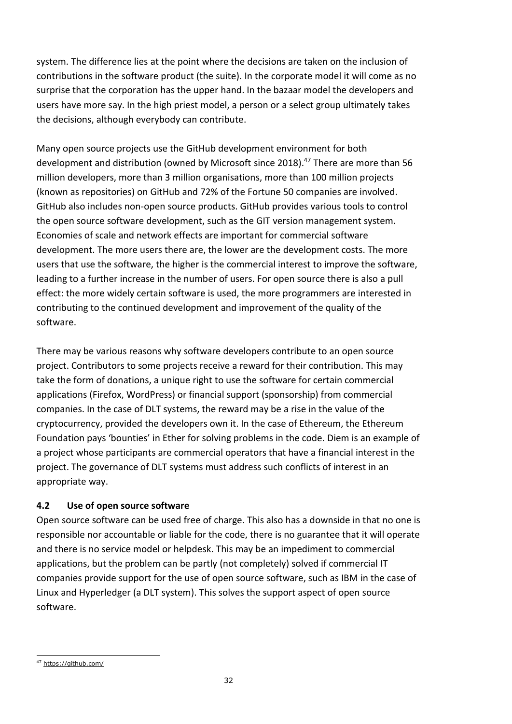system. The difference lies at the point where the decisions are taken on the inclusion of contributions in the software product (the suite). In the corporate model it will come as no surprise that the corporation has the upper hand. In the bazaar model the developers and users have more say. In the high priest model, a person or a select group ultimately takes the decisions, although everybody can contribute.

Many open source projects use the GitHub development environment for both development and distribution (owned by Microsoft since 2018).<sup>47</sup> There are more than 56 million developers, more than 3 million organisations, more than 100 million projects (known as repositories) on GitHub and 72% of the Fortune 50 companies are involved. GitHub also includes non-open source products. GitHub provides various tools to control the open source software development, such as the GIT version management system. Economies of scale and network effects are important for commercial software development. The more users there are, the lower are the development costs. The more users that use the software, the higher is the commercial interest to improve the software, leading to a further increase in the number of users. For open source there is also a pull effect: the more widely certain software is used, the more programmers are interested in contributing to the continued development and improvement of the quality of the software.

There may be various reasons why software developers contribute to an open source project. Contributors to some projects receive a reward for their contribution. This may take the form of donations, a unique right to use the software for certain commercial applications (Firefox, WordPress) or financial support (sponsorship) from commercial companies. In the case of DLT systems, the reward may be a rise in the value of the cryptocurrency, provided the developers own it. In the case of Ethereum, the Ethereum Foundation pays 'bounties' in Ether for solving problems in the code. Diem is an example of a project whose participants are commercial operators that have a financial interest in the project. The governance of DLT systems must address such conflicts of interest in an appropriate way.

#### **4.2 Use of open source software**

Open source software can be used free of charge. This also has a downside in that no one is responsible nor accountable or liable for the code, there is no guarantee that it will operate and there is no service model or helpdesk. This may be an impediment to commercial applications, but the problem can be partly (not completely) solved if commercial IT companies provide support for the use of open source software, such as IBM in the case of Linux and Hyperledger (a DLT system). This solves the support aspect of open source software.

<sup>&</sup>lt;sup>47</sup> <https://github.com/>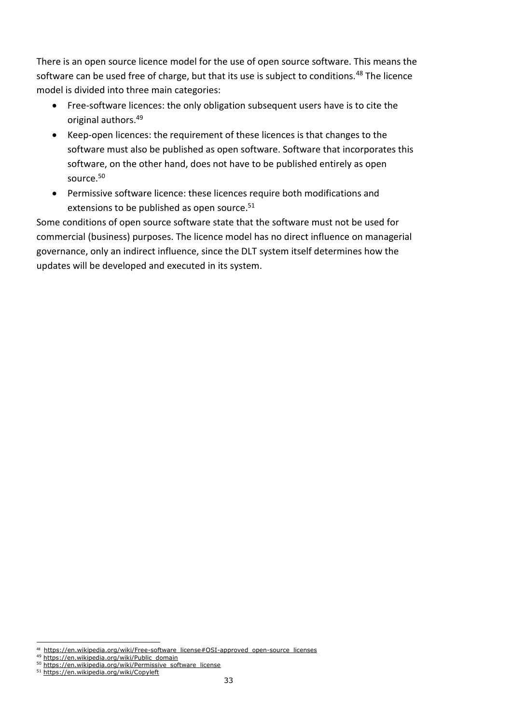There is an open source licence model for the use of open source software. This means the software can be used free of charge, but that its use is subject to conditions.<sup>48</sup> The licence model is divided into three main categories:

- Free-software licences: the only obligation subsequent users have is to cite the original authors.<sup>49</sup>
- Keep-open licences: the requirement of these licences is that changes to the software must also be published as open software. Software that incorporates this software, on the other hand, does not have to be published entirely as open source.<sup>50</sup>
- Permissive software licence: these licences require both modifications and extensions to be published as open source.<sup>51</sup>

Some conditions of open source software state that the software must not be used for commercial (business) purposes. The licence model has no direct influence on managerial governance, only an indirect influence, since the DLT system itself determines how the updates will be developed and executed in its system.

<sup>-</sup><sup>48</sup> [https://en.wikipedia.org/wiki/Free-software\\_license#OSI-approved\\_open-source\\_licenses](https://en.wikipedia.org/wiki/Free-software_license#OSI-approved_open-source_licenses)

<sup>49</sup> [https://en.wikipedia.org/wiki/Public\\_domain](https://en.wikipedia.org/wiki/Public_domain)

<sup>50</sup> [https://en.wikipedia.org/wiki/Permissive\\_software\\_license](https://en.wikipedia.org/wiki/Permissive_software_license)

<sup>51</sup> <https://en.wikipedia.org/wiki/Copyleft>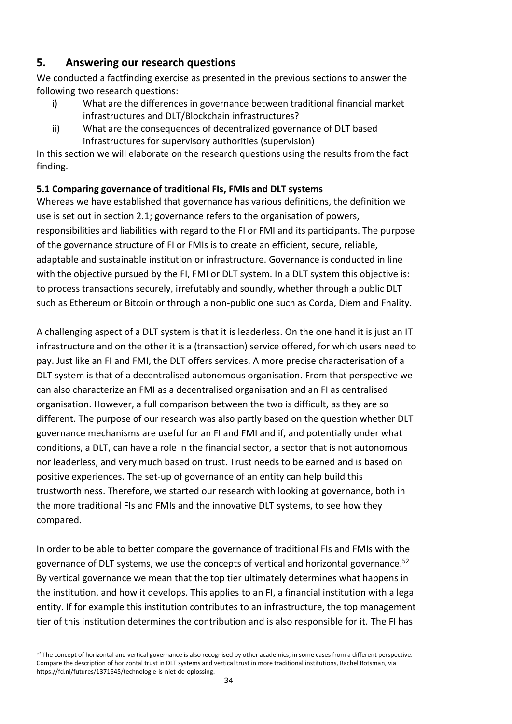## **5. Answering our research questions**

We conducted a factfinding exercise as presented in the previous sections to answer the following two research questions:

- i) What are the differences in governance between traditional financial market infrastructures and DLT/Blockchain infrastructures?
- ii) What are the consequences of decentralized governance of DLT based infrastructures for supervisory authorities (supervision)

In this section we will elaborate on the research questions using the results from the fact finding.

## **5.1 Comparing governance of traditional FIs, FMIs and DLT systems**

Whereas we have established that governance has various definitions, the definition we use is set out in section 2.1; governance refers to the organisation of powers, responsibilities and liabilities with regard to the FI or FMI and its participants. The purpose of the governance structure of FI or FMIs is to create an efficient, secure, reliable, adaptable and sustainable institution or infrastructure. Governance is conducted in line with the objective pursued by the FI, FMI or DLT system. In a DLT system this objective is: to process transactions securely, irrefutably and soundly, whether through a public DLT such as Ethereum or Bitcoin or through a non-public one such as Corda, Diem and Fnality.

A challenging aspect of a DLT system is that it is leaderless. On the one hand it is just an IT infrastructure and on the other it is a (transaction) service offered, for which users need to pay. Just like an FI and FMI, the DLT offers services. A more precise characterisation of a DLT system is that of a decentralised autonomous organisation. From that perspective we can also characterize an FMI as a decentralised organisation and an FI as centralised organisation. However, a full comparison between the two is difficult, as they are so different. The purpose of our research was also partly based on the question whether DLT governance mechanisms are useful for an FI and FMI and if, and potentially under what conditions, a DLT, can have a role in the financial sector, a sector that is not autonomous nor leaderless, and very much based on trust. Trust needs to be earned and is based on positive experiences. The set-up of governance of an entity can help build this trustworthiness. Therefore, we started our research with looking at governance, both in the more traditional FIs and FMIs and the innovative DLT systems, to see how they compared.

In order to be able to better compare the governance of traditional FIs and FMIs with the governance of DLT systems, we use the concepts of vertical and horizontal governance.<sup>52</sup> By vertical governance we mean that the top tier ultimately determines what happens in the institution, and how it develops. This applies to an FI, a financial institution with a legal entity. If for example this institution contributes to an infrastructure, the top management tier of this institution determines the contribution and is also responsible for it. The FI has

<sup>1</sup> <sup>52</sup> The concept of horizontal and vertical governance is also recognised by other academics, in some cases from a different perspective. Compare the description of horizontal trust in DLT systems and vertical trust in more traditional institutions, Rachel Botsman, via [https://fd.nl/futures/1371645/technologie-is-niet-de-oplossing.](https://fd.nl/futures/1371645/technologie-is-niet-de-oplossing)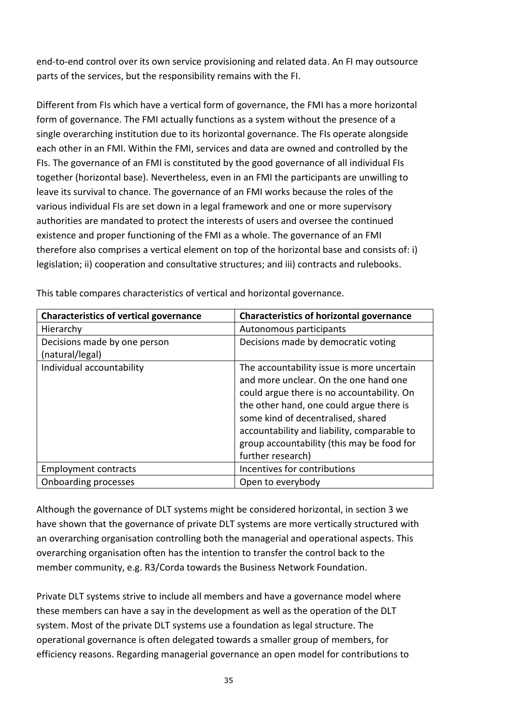end-to-end control over its own service provisioning and related data. An FI may outsource parts of the services, but the responsibility remains with the FI.

Different from FIs which have a vertical form of governance, the FMI has a more horizontal form of governance. The FMI actually functions as a system without the presence of a single overarching institution due to its horizontal governance. The FIs operate alongside each other in an FMI. Within the FMI, services and data are owned and controlled by the FIs. The governance of an FMI is constituted by the good governance of all individual FIs together (horizontal base). Nevertheless, even in an FMI the participants are unwilling to leave its survival to chance. The governance of an FMI works because the roles of the various individual FIs are set down in a legal framework and one or more supervisory authorities are mandated to protect the interests of users and oversee the continued existence and proper functioning of the FMI as a whole. The governance of an FMI therefore also comprises a vertical element on top of the horizontal base and consists of: i) legislation; ii) cooperation and consultative structures; and iii) contracts and rulebooks.

| <b>Characteristics of vertical governance</b> | <b>Characteristics of horizontal governance</b>                                                                                                                                                                                                                                                                                       |  |  |
|-----------------------------------------------|---------------------------------------------------------------------------------------------------------------------------------------------------------------------------------------------------------------------------------------------------------------------------------------------------------------------------------------|--|--|
| Hierarchy                                     | Autonomous participants                                                                                                                                                                                                                                                                                                               |  |  |
| Decisions made by one person                  | Decisions made by democratic voting                                                                                                                                                                                                                                                                                                   |  |  |
| (natural/legal)                               |                                                                                                                                                                                                                                                                                                                                       |  |  |
| Individual accountability                     | The accountability issue is more uncertain<br>and more unclear. On the one hand one<br>could argue there is no accountability. On<br>the other hand, one could argue there is<br>some kind of decentralised, shared<br>accountability and liability, comparable to<br>group accountability (this may be food for<br>further research) |  |  |
| <b>Employment contracts</b>                   | Incentives for contributions                                                                                                                                                                                                                                                                                                          |  |  |
| Onboarding processes                          | Open to everybody                                                                                                                                                                                                                                                                                                                     |  |  |

This table compares characteristics of vertical and horizontal governance.

Although the governance of DLT systems might be considered horizontal, in section 3 we have shown that the governance of private DLT systems are more vertically structured with an overarching organisation controlling both the managerial and operational aspects. This overarching organisation often has the intention to transfer the control back to the member community, e.g. R3/Corda towards the Business Network Foundation.

Private DLT systems strive to include all members and have a governance model where these members can have a say in the development as well as the operation of the DLT system. Most of the private DLT systems use a foundation as legal structure. The operational governance is often delegated towards a smaller group of members, for efficiency reasons. Regarding managerial governance an open model for contributions to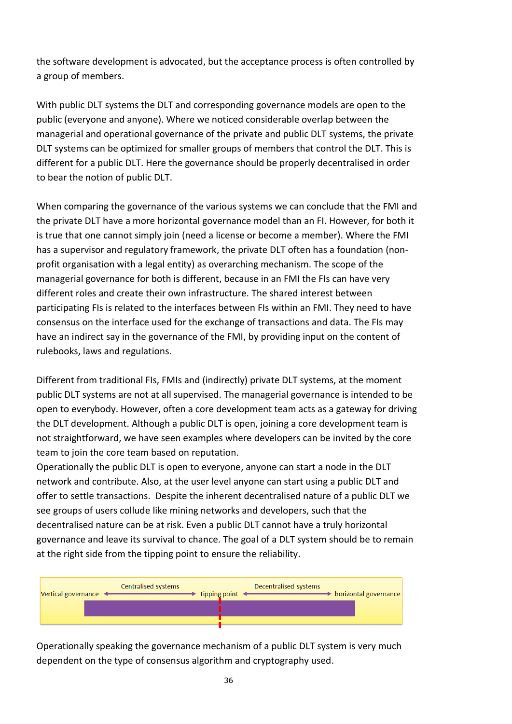the software development is advocated, but the acceptance process is often controlled by a group of members.

With public DLT systems the DLT and corresponding governance models are open to the public (everyone and anyone). Where we noticed considerable overlap between the managerial and operational governance of the private and public DLT systems, the private DLT systems can be optimized for smaller groups of members that control the DLT. This is different for a public DLT. Here the governance should be properly decentralised in order to bear the notion of public DLT.

When comparing the governance of the various systems we can conclude that the FMI and the private DLT have a more horizontal governance model than an FI. However, for both it is true that one cannot simply join (need a license or become a member). Where the FMI has a supervisor and regulatory framework, the private DLT often has a foundation (nonprofit organisation with a legal entity) as overarching mechanism. The scope of the managerial governance for both is different, because in an FMI the FIs can have very different roles and create their own infrastructure. The shared interest between participating FIs is related to the interfaces between FIs within an FMI. They need to have consensus on the interface used for the exchange of transactions and data. The FIs may have an indirect say in the governance of the FMI, by providing input on the content of rulebooks, laws and regulations.

Different from traditional FIs, FMIs and (indirectly) private DLT systems, at the moment public DLT systems are not at all supervised. The managerial governance is intended to be open to everybody. However, often a core development team acts as a gateway for driving the DLT development. Although a public DLT is open, joining a core development team is not straightforward, we have seen examples where developers can be invited by the core team to join the core team based on reputation.

Operationally the public DLT is open to everyone, anyone can start a node in the DLT network and contribute. Also, at the user level anyone can start using a public DLT and offer to settle transactions. Despite the inherent decentralised nature of a public DLT we see groups of users collude like mining networks and developers, such that the decentralised nature can be at risk. Even a public DLT cannot have a truly horizontal governance and leave its survival to chance. The goal of a DLT system should be to remain at the right side from the tipping point to ensure the reliability.



Operationally speaking the governance mechanism of a public DLT system is very much dependent on the type of consensus algorithm and cryptography used.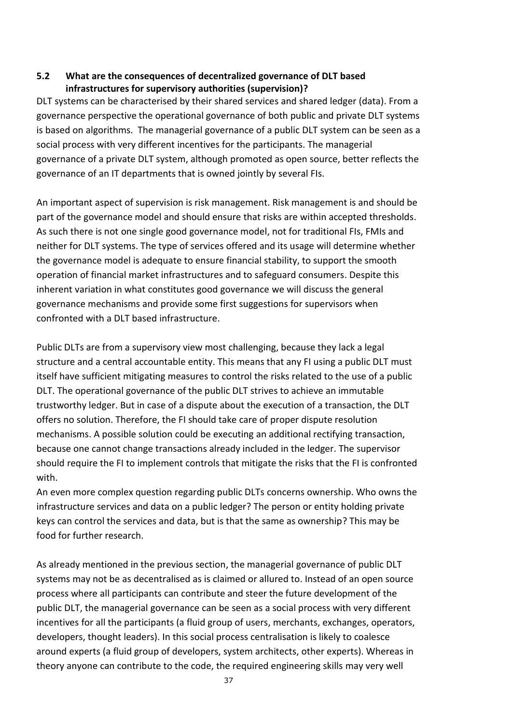#### **5.2 What are the consequences of decentralized governance of DLT based infrastructures for supervisory authorities (supervision)?**

DLT systems can be characterised by their shared services and shared ledger (data). From a governance perspective the operational governance of both public and private DLT systems is based on algorithms. The managerial governance of a public DLT system can be seen as a social process with very different incentives for the participants. The managerial governance of a private DLT system, although promoted as open source, better reflects the governance of an IT departments that is owned jointly by several FIs.

An important aspect of supervision is risk management. Risk management is and should be part of the governance model and should ensure that risks are within accepted thresholds. As such there is not one single good governance model, not for traditional FIs, FMIs and neither for DLT systems. The type of services offered and its usage will determine whether the governance model is adequate to ensure financial stability, to support the smooth operation of financial market infrastructures and to safeguard consumers. Despite this inherent variation in what constitutes good governance we will discuss the general governance mechanisms and provide some first suggestions for supervisors when confronted with a DLT based infrastructure.

Public DLTs are from a supervisory view most challenging, because they lack a legal structure and a central accountable entity. This means that any FI using a public DLT must itself have sufficient mitigating measures to control the risks related to the use of a public DLT. The operational governance of the public DLT strives to achieve an immutable trustworthy ledger. But in case of a dispute about the execution of a transaction, the DLT offers no solution. Therefore, the FI should take care of proper dispute resolution mechanisms. A possible solution could be executing an additional rectifying transaction, because one cannot change transactions already included in the ledger. The supervisor should require the FI to implement controls that mitigate the risks that the FI is confronted with.

An even more complex question regarding public DLTs concerns ownership. Who owns the infrastructure services and data on a public ledger? The person or entity holding private keys can control the services and data, but is that the same as ownership? This may be food for further research.

As already mentioned in the previous section, the managerial governance of public DLT systems may not be as decentralised as is claimed or allured to. Instead of an open source process where all participants can contribute and steer the future development of the public DLT, the managerial governance can be seen as a social process with very different incentives for all the participants (a fluid group of users, merchants, exchanges, operators, developers, thought leaders). In this social process centralisation is likely to coalesce around experts (a fluid group of developers, system architects, other experts). Whereas in theory anyone can contribute to the code, the required engineering skills may very well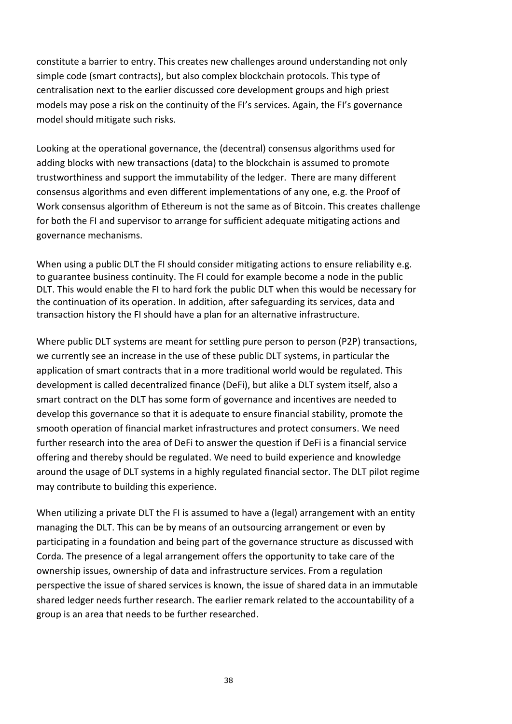constitute a barrier to entry. This creates new challenges around understanding not only simple code (smart contracts), but also complex blockchain protocols. This type of centralisation next to the earlier discussed core development groups and high priest models may pose a risk on the continuity of the FI's services. Again, the FI's governance model should mitigate such risks.

Looking at the operational governance, the (decentral) consensus algorithms used for adding blocks with new transactions (data) to the blockchain is assumed to promote trustworthiness and support the immutability of the ledger. There are many different consensus algorithms and even different implementations of any one, e.g. the Proof of Work consensus algorithm of Ethereum is not the same as of Bitcoin. This creates challenge for both the FI and supervisor to arrange for sufficient adequate mitigating actions and governance mechanisms.

When using a public DLT the FI should consider mitigating actions to ensure reliability e.g. to guarantee business continuity. The FI could for example become a node in the public DLT. This would enable the FI to hard fork the public DLT when this would be necessary for the continuation of its operation. In addition, after safeguarding its services, data and transaction history the FI should have a plan for an alternative infrastructure.

Where public DLT systems are meant for settling pure person to person (P2P) transactions, we currently see an increase in the use of these public DLT systems, in particular the application of smart contracts that in a more traditional world would be regulated. This development is called decentralized finance (DeFi), but alike a DLT system itself, also a smart contract on the DLT has some form of governance and incentives are needed to develop this governance so that it is adequate to ensure financial stability, promote the smooth operation of financial market infrastructures and protect consumers. We need further research into the area of DeFi to answer the question if DeFi is a financial service offering and thereby should be regulated. We need to build experience and knowledge around the usage of DLT systems in a highly regulated financial sector. The DLT pilot regime may contribute to building this experience.

When utilizing a private DLT the FI is assumed to have a (legal) arrangement with an entity managing the DLT. This can be by means of an outsourcing arrangement or even by participating in a foundation and being part of the governance structure as discussed with Corda. The presence of a legal arrangement offers the opportunity to take care of the ownership issues, ownership of data and infrastructure services. From a regulation perspective the issue of shared services is known, the issue of shared data in an immutable shared ledger needs further research. The earlier remark related to the accountability of a group is an area that needs to be further researched.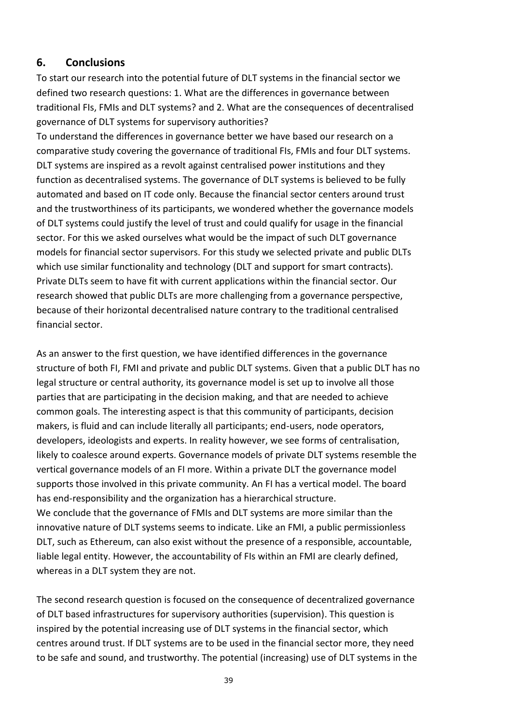## **6. Conclusions**

To start our research into the potential future of DLT systems in the financial sector we defined two research questions: 1. What are the differences in governance between traditional FIs, FMIs and DLT systems? and 2. What are the consequences of decentralised governance of DLT systems for supervisory authorities?

To understand the differences in governance better we have based our research on a comparative study covering the governance of traditional FIs, FMIs and four DLT systems. DLT systems are inspired as a revolt against centralised power institutions and they function as decentralised systems. The governance of DLT systems is believed to be fully automated and based on IT code only. Because the financial sector centers around trust and the trustworthiness of its participants, we wondered whether the governance models of DLT systems could justify the level of trust and could qualify for usage in the financial sector. For this we asked ourselves what would be the impact of such DLT governance models for financial sector supervisors. For this study we selected private and public DLTs which use similar functionality and technology (DLT and support for smart contracts). Private DLTs seem to have fit with current applications within the financial sector. Our research showed that public DLTs are more challenging from a governance perspective, because of their horizontal decentralised nature contrary to the traditional centralised financial sector.

As an answer to the first question, we have identified differences in the governance structure of both FI, FMI and private and public DLT systems. Given that a public DLT has no legal structure or central authority, its governance model is set up to involve all those parties that are participating in the decision making, and that are needed to achieve common goals. The interesting aspect is that this community of participants, decision makers, is fluid and can include literally all participants; end-users, node operators, developers, ideologists and experts. In reality however, we see forms of centralisation, likely to coalesce around experts. Governance models of private DLT systems resemble the vertical governance models of an FI more. Within a private DLT the governance model supports those involved in this private community. An FI has a vertical model. The board has end-responsibility and the organization has a hierarchical structure. We conclude that the governance of FMIs and DLT systems are more similar than the innovative nature of DLT systems seems to indicate. Like an FMI, a public permissionless DLT, such as Ethereum, can also exist without the presence of a responsible, accountable, liable legal entity. However, the accountability of FIs within an FMI are clearly defined, whereas in a DLT system they are not.

The second research question is focused on the consequence of decentralized governance of DLT based infrastructures for supervisory authorities (supervision). This question is inspired by the potential increasing use of DLT systems in the financial sector, which centres around trust. If DLT systems are to be used in the financial sector more, they need to be safe and sound, and trustworthy. The potential (increasing) use of DLT systems in the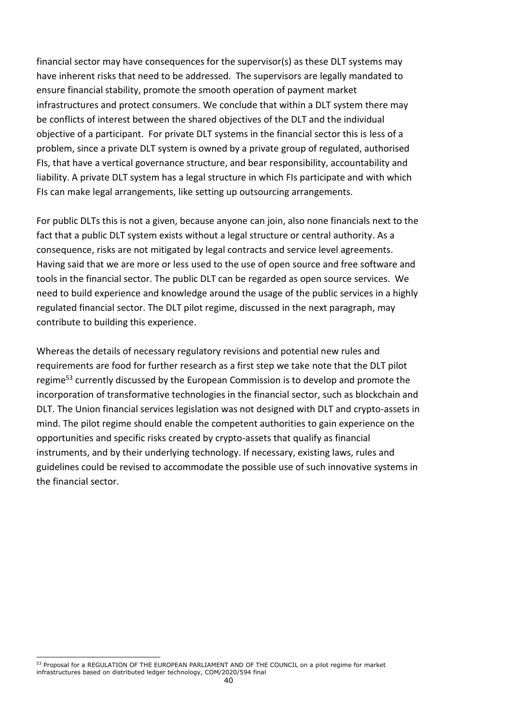financial sector may have consequences for the supervisor(s) as these DLT systems may have inherent risks that need to be addressed. The supervisors are legally mandated to ensure financial stability, promote the smooth operation of payment market infrastructures and protect consumers. We conclude that within a DLT system there may be conflicts of interest between the shared objectives of the DLT and the individual objective of a participant. For private DLT systems in the financial sector this is less of a problem, since a private DLT system is owned by a private group of regulated, authorised FIs, that have a vertical governance structure, and bear responsibility, accountability and liability. A private DLT system has a legal structure in which FIs participate and with which FIs can make legal arrangements, like setting up outsourcing arrangements.

For public DLTs this is not a given, because anyone can join, also none financials next to the fact that a public DLT system exists without a legal structure or central authority. As a consequence, risks are not mitigated by legal contracts and service level agreements. Having said that we are more or less used to the use of open source and free software and tools in the financial sector. The public DLT can be regarded as open source services. We need to build experience and knowledge around the usage of the public services in a highly regulated financial sector. The DLT pilot regime, discussed in the next paragraph, may contribute to building this experience.

Whereas the details of necessary regulatory revisions and potential new rules and requirements are food for further research as a first step we take note that the DLT pilot regime<sup>53</sup> currently discussed by the European Commission is to develop and promote the incorporation of transformative technologies in the financial sector, such as blockchain and DLT. The Union financial services legislation was not designed with DLT and crypto-assets in mind. The pilot regime should enable the competent authorities to gain experience on the opportunities and specific risks created by crypto-assets that qualify as financial instruments, and by their underlying technology. If necessary, existing laws, rules and guidelines could be revised to accommodate the possible use of such innovative systems in the financial sector.

<sup>1</sup> 53 Proposal for a REGULATION OF THE EUROPEAN PARLIAMENT AND OF THE COUNCIL on a pilot regime for market infrastructures based on distributed ledger technology, COM/2020/594 final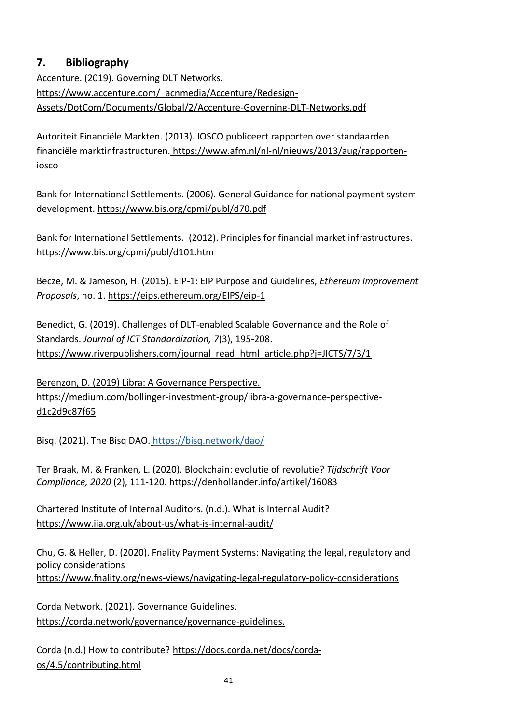## **7. Bibliography**

Accenture. (2019). Governing DLT Networks. https://www.accenture.com/\_acnmedia/Accenture/Redesign-Assets/DotCom/Documents/Global/2/Accenture-Governing-DLT-Networks.pdf

Autoriteit Financiële Markten. (2013). IOSCO publiceert rapporten over standaarden financiële marktinfrastructuren. [https://www.afm.nl/nl-nl/nieuws/2013/aug/rapporten](https://www.afm.nl/nl-nl/nieuws/2013/aug/rapporten-iosco)[iosco](https://www.afm.nl/nl-nl/nieuws/2013/aug/rapporten-iosco)

Bank for International Settlements. (2006). General Guidance for national payment system development.<https://www.bis.org/cpmi/publ/d70.pdf>

Bank for International Settlements. (2012). Principles for financial market infrastructures. <https://www.bis.org/cpmi/publ/d101.htm>

[Becze,](mailto:mb@ethereum.org) M. & [Jameson,](mailto:hudson@ethereum.org) H. (2015). EIP-1: EIP Purpose and Guidelines, *Ethereum Improvement Proposals*, no. 1. <https://eips.ethereum.org/EIPS/eip-1>

Benedict, G. (2019). Challenges of DLT-enabled Scalable Governance and the Role of Standards. *Journal of ICT Standardization, 7*(3), 195-208. https://www.riverpublishers.com/journal\_read\_html\_article.php?j=JICTS/7/3/1

Berenzon, D. (2019) Libra: A Governance Perspective. https://medium.com/bollinger-investment-group/libra-a-governance-perspectived1c2d9c87f65

Bisq. (2021). The Bisq DAO. <https://bisq.network/dao/>

Ter Braak, M. & Franken, L. (2020). Blockchain: evolutie of revolutie? *Tijdschrift Voor Compliance, 2020* (2), 111-120.<https://denhollander.info/artikel/16083>

[Chartered Institute of Internal Auditors. \(n.d.\). What is Internal Audit?](file://///vfs01/homefolders$/pietersea/Documents/Chartered%20Institute%20of%20Internal%20Auditors.%20(n.d.).%20What%20is%20Internal%20Audit)  [https://www.iia.org.uk/about-us/what-is-internal-audit/](file://///vfs01/homefolders$/pietersea/Documents/Chartered%20Institute%20of%20Internal%20Auditors.%20(n.d.).%20What%20is%20Internal%20Audit)

Chu, G. & Heller, D. (2020). Fnality Payment Systems: Navigating the legal, regulatory and policy considerations <https://www.fnality.org/news-views/navigating-legal-regulatory-policy-considerations>

[Corda Network. \(2021\). Governance Guidelines.](file:///C:/Users/NC3186.DNB/AppData/Local/Microsoft/Windows/INetCache/Content.Outlook/KAN73KHT/Corda%20Network.%20(2021).%20Governance%20Guidelines.%20https:/corda.network/governance/governance-guidelines) [https://corda.network/governance/governance-guidelines.](file:///C:/Users/NC3186.DNB/AppData/Local/Microsoft/Windows/INetCache/Content.Outlook/KAN73KHT/Corda%20Network.%20(2021).%20Governance%20Guidelines.%20https:/corda.network/governance/governance-guidelines)

Corda (n.d.) How to contribute? [https://docs.corda.net/docs/corda](https://docs.corda.net/docs/corda-os/4.5/contributing.html)[os/4.5/contributing.html](https://docs.corda.net/docs/corda-os/4.5/contributing.html)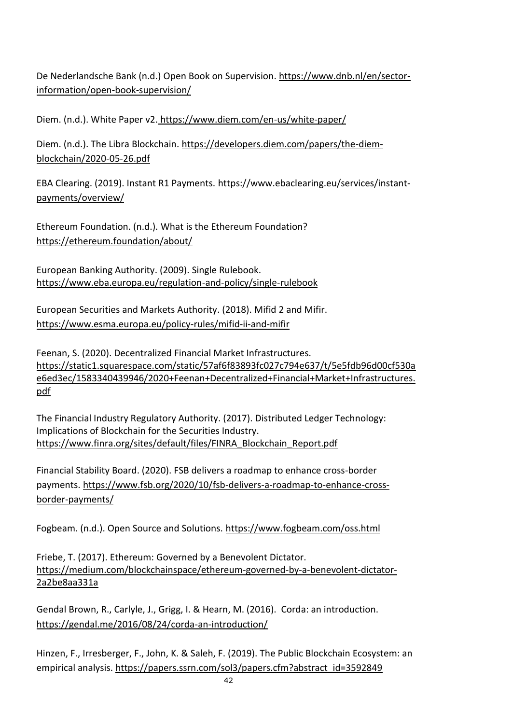De Nederlandsche Bank (n.d.) Open Book on Supervision. https://www.dnb.nl/en/sectorinformation/open-book-supervision/

Diem. (n.d.). White Paper v2. https://www.diem.com/en-us/white-paper/

Diem. (n.d.). The Libra Blockchain. https://developers.diem.com/papers/the-diemblockchain/2020-05-26.pdf

EBA Clearing. (2019). Instant R1 Payments. [https://www.ebaclearing.eu/services/instant](https://www.ebaclearing.eu/services/instant-payments/overview/)[payments/overview/](https://www.ebaclearing.eu/services/instant-payments/overview/)

Ethereum Foundation. (n.d.). What is the Ethereum Foundation? <https://ethereum.foundation/about/>

European Banking Authority. (2009). Single Rulebook. https://www.eba.europa.eu/regulation-and-policy/single-rulebook

European Securities and Markets Authority. (2018). Mifid 2 and Mifir. https://www.esma.europa.eu/policy-rules/mifid-ii-and-mifir

Feenan, S. (2020). Decentralized Financial Market Infrastructures. https://static1.squarespace.com/static/57af6f83893fc027c794e637/t/5e5fdb96d00cf530a e6ed3ec/1583340439946/2020+Feenan+Decentralized+Financial+Market+Infrastructures. pdf

The Financial Industry Regulatory Authority. (2017). Distributed Ledger Technology: Implications of Blockchain for the Securities Industry. [https://www.finra.org/sites/default/files/FINRA\\_Blockchain\\_Report.pdf](https://www.finra.org/sites/default/files/FINRA_Blockchain_Report.pdf)

Financial Stability Board. (2020). FSB delivers a roadmap to enhance cross-border payments. [https://www.fsb.org/2020/10/fsb-delivers-a-roadmap-to-enhance-cross](https://www.fsb.org/2020/10/fsb-delivers-a-roadmap-to-enhance-cross-border-payments/)[border-payments/](https://www.fsb.org/2020/10/fsb-delivers-a-roadmap-to-enhance-cross-border-payments/)

Fogbeam. (n.d.). Open Source and Solutions. <https://www.fogbeam.com/oss.html>

Friebe, T. (2017). Ethereum: Governed by a Benevolent Dictator. https://medium.com/blockchainspace/ethereum-governed-by-a-benevolent-dictator-2a2be8aa331a

Gendal Brown, R., Carlyle, J., Grigg, I. & Hearn, M. (2016). Corda: an introduction. https://gendal.me/2016/08/24/corda-an-introduction/

Hinzen, F., Irresberger, F., John, K. & Saleh, F. (2019). The Public Blockchain Ecosystem: an empirical analysis. https://papers.ssrn.com/sol3/papers.cfm?abstract\_id=3592849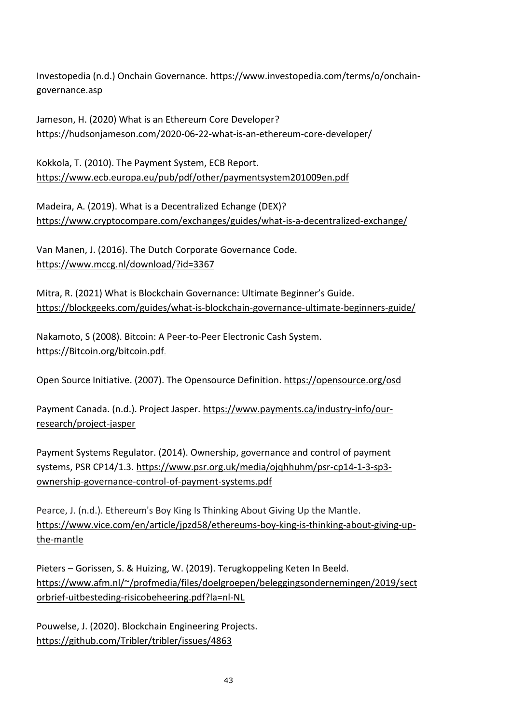Investopedia (n.d.) Onchain Governance. [https://www.investopedia.com/terms/o/onchain](https://www.investopedia.com/terms/o/onchain-governance.asp)[governance.asp](https://www.investopedia.com/terms/o/onchain-governance.asp)

Jameson, H. (2020) What is an Ethereum Core Developer? https://hudsonjameson.com/2020-06-22-what-is-an-ethereum-core-developer/

Kokkola, T. (2010). The Payment System, ECB Report. https://www.ecb.europa.eu/pub/pdf/other/paymentsystem201009en.pdf

Madeira, A. (2019). What is a Decentralized Echange (DEX)? <https://www.cryptocompare.com/exchanges/guides/what-is-a-decentralized-exchange/>

Van Manen, J. (2016). The Dutch Corporate Governance Code. https://www.mccg.nl/download/?id=3367

Mitra, R. (2021) What is Blockchain Governance: Ultimate Beginner's Guide. <https://blockgeeks.com/guides/what-is-blockchain-governance-ultimate-beginners-guide/>

Nakamoto, S (2008). Bitcoin: A Peer-to-Peer Electronic Cash System. [https://Bitcoin.org/bitcoin.pdf](https://bitcoin.org/bitcoin.pdf).

Open Source Initiative. (2007). The Opensource Definition. <https://opensource.org/osd>

Payment Canada. (n.d.). Project Jasper. [https://www.payments.ca/industry-info/our](https://www.payments.ca/industry-info/our-research/project-jasper)[research/project-jasper](https://www.payments.ca/industry-info/our-research/project-jasper)

Payment Systems Regulator. (2014). Ownership, governance and control of payment systems, PSR CP14/1.3. https://www.psr.org.uk/media/ojqhhuhm/psr-cp14-1-3-sp3 ownership-governance-control-of-payment-systems.pdf

Pearce, J. (n.d.). Ethereum's Boy King Is Thinking About Giving Up the Mantle. [https://www.vice.com/en/article/jpzd58/ethereums-boy-king-is-thinking-about-giving-up](https://www.vice.com/en/article/jpzd58/ethereums-boy-king-is-thinking-about-giving-up-the-mantle)[the-mantle](https://www.vice.com/en/article/jpzd58/ethereums-boy-king-is-thinking-about-giving-up-the-mantle)

Pieters – Gorissen, S. & Huizing, W. (2019). Terugkoppeling Keten In Beeld. [https://www.afm.nl/~/profmedia/files/doelgroepen/beleggingsondernemingen/2019/sect](https://www.afm.nl/~/profmedia/files/doelgroepen/beleggingsondernemingen/2019/sectorbrief-uitbesteding-risicobeheering.pdf?la=nl-NL) [orbrief-uitbesteding-risicobeheering.pdf?la=nl-NL](https://www.afm.nl/~/profmedia/files/doelgroepen/beleggingsondernemingen/2019/sectorbrief-uitbesteding-risicobeheering.pdf?la=nl-NL)

[Pouwelse, J. \(2020\). Blockchain Engineering Projects.](https://github.com/Tribler/tribler/issues/4863)  <https://github.com/Tribler/tribler/issues/4863>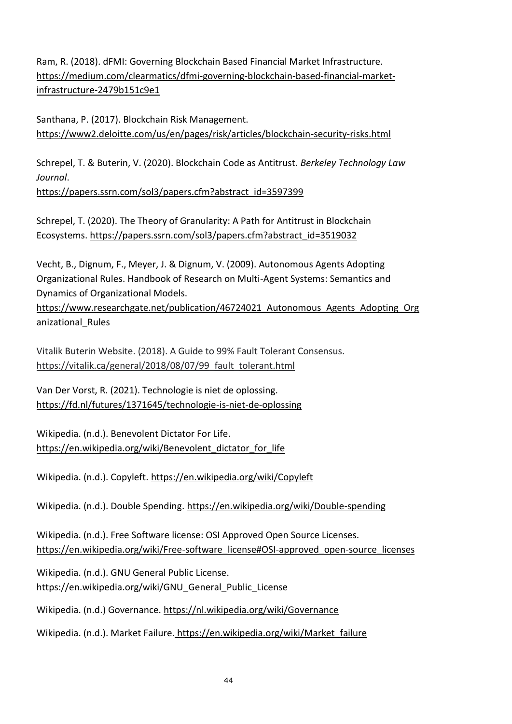Ram, R. (2018). dFMI: Governing Blockchain Based Financial Market Infrastructure. [https://medium.com/clearmatics/dfmi-governing-blockchain-based-financial-market](https://medium.com/clearmatics/dfmi-governing-blockchain-based-financial-market-infrastructure-2479b151c9e1)[infrastructure-2479b151c9e1](https://medium.com/clearmatics/dfmi-governing-blockchain-based-financial-market-infrastructure-2479b151c9e1)

Santhana, P. (2017). Blockchain Risk Management. <https://www2.deloitte.com/us/en/pages/risk/articles/blockchain-security-risks.html>

Schrepel, T. & Buterin, V. (2020). Blockchain Code as Antitrust. *Berkeley Technology Law Journal*.

https://papers.ssrn.com/sol3/papers.cfm?abstract\_id=3597399

Schrepel, T. (2020). The Theory of Granularity: A Path for Antitrust in Blockchain Ecosystems. https://papers.ssrn.com/sol3/papers.cfm?abstract\_id=3519032

Vecht, B., Dignum, F., Meyer, J. & Dignum, V. (2009). Autonomous Agents Adopting Organizational Rules. Handbook of Research on Multi-Agent Systems: Semantics and Dynamics of Organizational Models.

https://www.researchgate.net/publication/46724021\_Autonomous\_Agents\_Adopting\_Org anizational\_Rules

Vitalik Buterin Website. (2018). A Guide to 99% Fault Tolerant Consensus. [https://vitalik.ca/general/2018/08/07/99\\_fault\\_tolerant.html](https://vitalik.ca/general/2018/08/07/99_fault_tolerant.html)

Van Der Vorst, R. (2021). Technologie is niet de oplossing. <https://fd.nl/futures/1371645/technologie-is-niet-de-oplossing>

Wikipedia. (n.d.). Benevolent Dictator For Life. https://en.wikipedia.org/wiki/Benevolent dictator for life

Wikipedia. (n.d.). Copyleft. <https://en.wikipedia.org/wiki/Copyleft>

Wikipedia. (n.d.). Double Spending. <https://en.wikipedia.org/wiki/Double-spending>

Wikipedia. (n.d.). Free Software license: OSI Approved Open Source Licenses. https://en.wikipedia.org/wiki/Free-software license#OSI-approved open-source licenses

Wikipedia. (n.d.). GNU General Public License.

[https://en.wikipedia.org/wiki/GNU\\_General\\_Public\\_License](https://en.wikipedia.org/wiki/GNU_General_Public_License)

[Wikipedia. \(n.d.\) Governance. https://nl.wikipedia.org/wiki/Governance](file://///vfs01/homefolders$/pietersea/Documents/Wikipedia.%20(n.d.)%20Governance.%20https:/nl.wikipedia.org/wiki/Governance)

Wikipedia. (n.d.). Market Failure. [https://en.wikipedia.org/wiki/Market\\_failure](file://///vfs01/homefolders$/pietersea/Documents/Wikipedia.%20(n.d.).%20Market%20Failure.%20https:/en.wikipedia.org/wiki/Market_failure)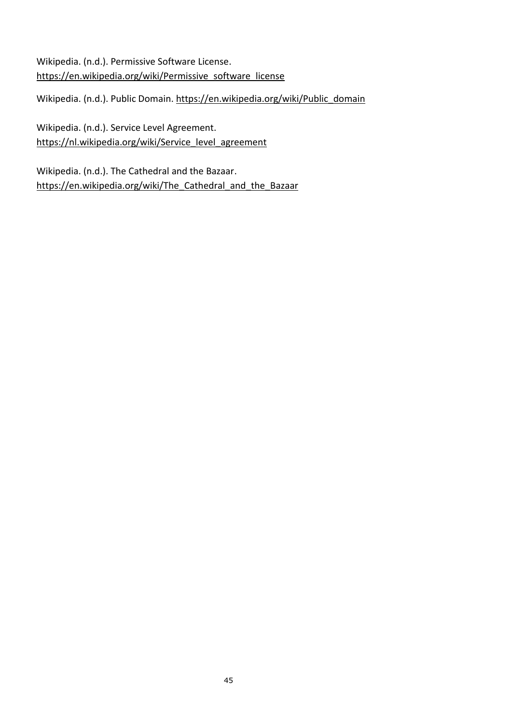Wikipedia. (n.d.). Permissive Software License. [https://en.wikipedia.org/wiki/Permissive\\_software\\_license](https://en.wikipedia.org/wiki/Permissive_software_license)

Wikipedia. (n.d.). Public Domain[. https://en.wikipedia.org/wiki/Public\\_domain](https://en.wikipedia.org/wiki/Public_domain)

Wikipedia. (n.d.). Service Level Agreement. [https://nl.wikipedia.org/wiki/Service\\_level\\_agreement](https://nl.wikipedia.org/wiki/Service_level_agreement)

Wikipedia. (n.d.). The Cathedral and the Bazaar. https://en.wikipedia.org/wiki/The Cathedral and the Bazaar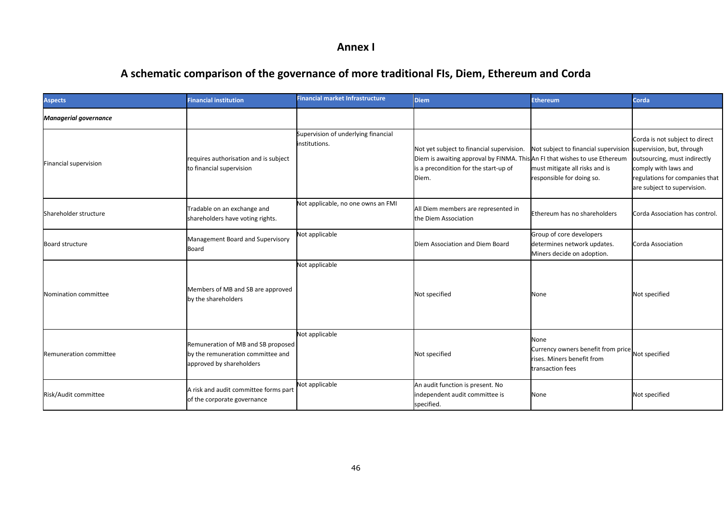## **Annex I**

## **A schematic comparison of the governance of more traditional FIs, Diem, Ethereum and Corda**

| <b>Aspects</b>               | <b>Financial institution</b>                                                                        | <b>Financial market Infrastructure</b>               | <b>Diem</b>                                                                                                                                                               | <b>Ethereum</b>                                                                                                               | Corda                                                                                                                                                   |
|------------------------------|-----------------------------------------------------------------------------------------------------|------------------------------------------------------|---------------------------------------------------------------------------------------------------------------------------------------------------------------------------|-------------------------------------------------------------------------------------------------------------------------------|---------------------------------------------------------------------------------------------------------------------------------------------------------|
| <b>Managerial governance</b> |                                                                                                     |                                                      |                                                                                                                                                                           |                                                                                                                               |                                                                                                                                                         |
| <b>Financial supervision</b> | requires authorisation and is subject<br>to financial supervision                                   | Supervision of underlying financial<br>institutions. | Not yet subject to financial supervision.<br>Diem is awaiting approval by FINMA. This An FI that wishes to use Ethereum<br>is a precondition for the start-up of<br>Diem. | Not subject to financial supervision supervision, but, through<br>must mitigate all risks and is<br>responsible for doing so. | Corda is not subject to direct<br>outsourcing, must indirectly<br>comply with laws and<br>regulations for companies that<br>are subject to supervision. |
| Shareholder structure        | Tradable on an exchange and<br>shareholders have voting rights.                                     | Not applicable, no one owns an FMI                   | All Diem members are represented in<br>the Diem Association                                                                                                               | Ethereum has no shareholders                                                                                                  | Corda Association has control.                                                                                                                          |
| Board structure              | Management Board and Supervisory<br><b>Board</b>                                                    | Not applicable                                       | Diem Association and Diem Board                                                                                                                                           | Group of core developers<br>determines network updates.<br>Miners decide on adoption.                                         | Corda Association                                                                                                                                       |
| Nomination committee         | Members of MB and SB are approved<br>by the shareholders                                            | Not applicable                                       | Not specified                                                                                                                                                             | None                                                                                                                          | Not specified                                                                                                                                           |
| Remuneration committee       | Remuneration of MB and SB proposed<br>by the remuneration committee and<br>approved by shareholders | Not applicable                                       | Not specified                                                                                                                                                             | None<br>Currency owners benefit from price<br>Not specified<br>rises. Miners benefit from<br>transaction fees                 |                                                                                                                                                         |
| Risk/Audit committee         | A risk and audit committee forms part<br>of the corporate governance                                | Not applicable                                       | An audit function is present. No<br>independent audit committee is<br>specified.                                                                                          | None                                                                                                                          | Not specified                                                                                                                                           |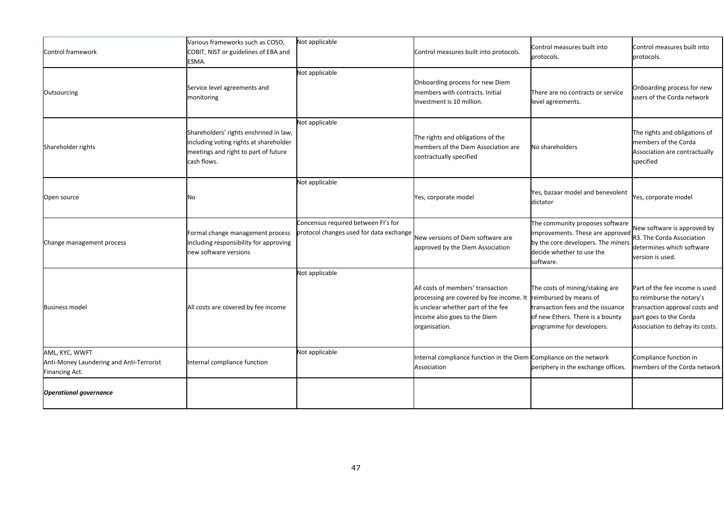| Control framework                                                            | Various frameworks such as COSO,<br>COBIT, NIST or guidelines of EBA and<br>ESMA.                                                       | Not applicable                                                                 | Control measures built into protocols.                                                                                                                                                      | Control measures built into<br>protocols.                                                                                                           | Control measures built into<br>protocols.                                                                                                                   |
|------------------------------------------------------------------------------|-----------------------------------------------------------------------------------------------------------------------------------------|--------------------------------------------------------------------------------|---------------------------------------------------------------------------------------------------------------------------------------------------------------------------------------------|-----------------------------------------------------------------------------------------------------------------------------------------------------|-------------------------------------------------------------------------------------------------------------------------------------------------------------|
| Outsourcing                                                                  | Service level agreements and<br>monitoring                                                                                              | Not applicable                                                                 | Onboarding process for new Diem<br>members with contracts. Initial<br>investment is 10 million.                                                                                             | There are no contracts or service<br>level agreements.                                                                                              | Onboarding process for new<br>users of the Corda network                                                                                                    |
| Shareholder rights                                                           | Shareholders' rights enshrined in law,<br>including voting rights at shareholder<br>meetings and right to part of future<br>cash flows. | Not applicable                                                                 | The rights and obligations of the<br>members of the Diem Association are<br>contractually specified                                                                                         | No shareholders                                                                                                                                     | The rights and obligations of<br>members of the Corda<br>Association are contractually<br>specified                                                         |
| Open source                                                                  | No                                                                                                                                      | Not applicable                                                                 | Yes, corporate model                                                                                                                                                                        | Yes, bazaar model and benevolent<br>dictator                                                                                                        | Yes, corporate model                                                                                                                                        |
| Change management process                                                    | Formal change management process<br>including responsibility for approving<br>new software versions                                     | Concensus required between FI's for<br>protocol changes used for data exchange | New versions of Diem software are<br>approved by the Diem Association                                                                                                                       | The community proposes software<br>improvements. These are approved<br>by the core developers. The miners<br>decide whether to use the<br>software. | New software is approved by<br>R3. The Corda Association<br>determines which software<br>version is used.                                                   |
| <b>Business model</b>                                                        | All costs are covered by fee income                                                                                                     | Not applicable                                                                 | All costs of members' transaction<br>processing are covered by fee income. It reimbursed by means of<br>is unclear whether part of the fee<br>income also goes to the Diem<br>organisation. | The costs of mining/staking are<br>transaction fees and the issuance<br>of new Ethers. There is a bounty<br>programme for developers.               | Part of the fee income is used<br>to reimburse the notary's<br>transaction approval costs and<br>part goes to the Corda<br>Association to defray its costs. |
| AML, KYC, WWFT<br>Anti-Money Laundering and Anti-Terrorist<br>Financing Act. | Internal compliance function                                                                                                            | Not applicable                                                                 | Internal compliance function in the Diem Compliance on the network<br>Association                                                                                                           | periphery in the exchange offices.                                                                                                                  | Compliance function in<br>members of the Corda network                                                                                                      |
| <b>Operational governance</b>                                                |                                                                                                                                         |                                                                                |                                                                                                                                                                                             |                                                                                                                                                     |                                                                                                                                                             |